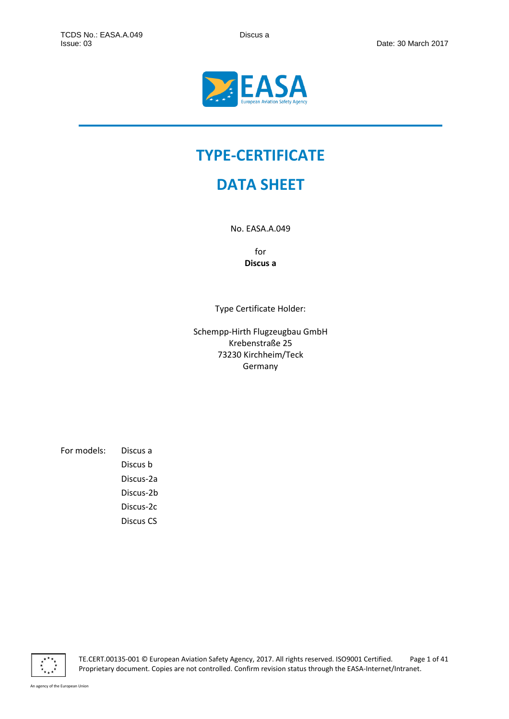

# **TYPE-CERTIFICATE**

## **DATA SHEET**

No. EASA.A.049

for **Discus a**

Type Certificate Holder:

Schempp-Hirth Flugzeugbau GmbH Krebenstraße 25 73230 Kirchheim/Teck Germany

For models: Discus a Discus b Discus-2a Discus-2b Discus-2c Discus CS



TE.CERT.00135-001 © European Aviation Safety Agency, 2017. All rights reserved. ISO9001 Certified. Page 1 of 41 Proprietary document. Copies are not controlled. Confirm revision status through the EASA-Internet/Intranet.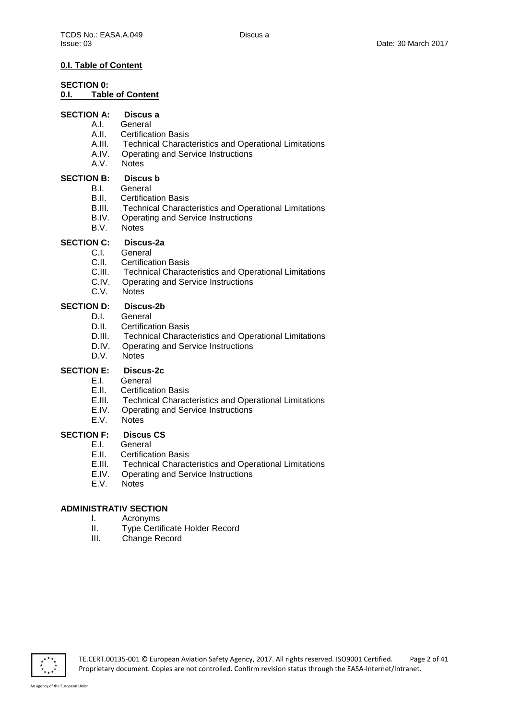## **0.I. Table of Content**

## **SECTION 0:**

### **0.I. Table of Content**

## **SECTION A: Discus a**

- A.I. General
	- A.II. Certification Basis
	- A.III. Technical Characteristics and Operational Limitations<br>A.IV. Operating and Service Instructions
	- A.IV. Operating and Service Instructions<br>A.V. Notes
	- Notes

#### **SECTION B: Discus b**

## B.I. General

- B.II. Certification Basis
- B.III. Technical Characteristics and Operational Limitations
- B.IV. Operating and Service Instructions
- B.V. Notes

## **SECTION C: Discus-2a**

- C.I. General<br>C.II. Certifica
- C.II. Certification Basis<br>C.III. Technical Charac
- Technical Characteristics and Operational Limitations
- C.IV. Operating and Service Instructions
- C.V. Notes

## **SECTION D: Discus-2b**

- D.I. General
- D.II. Certification Basis
- D.III. Technical Characteristics and Operational Limitations
- D.IV. Operating and Service Instructions
- D.V. Notes

## **SECTION E: Discus-2c**

- E.I. General
- E.II. Certification Basis
- E.III. Technical Characteristics and Operational Limitations
- E.IV. Operating and Service Instructions
- E.V. Notes

## **SECTION F: Discus CS**<br>E.I. General

- E.I. General<br>E.II. Certifica
- **Certification Basis**
- E.III. Technical Characteristics and Operational Limitations
- E.IV. Operating and Service Instructions
- E.V. Notes

## **ADMINISTRATIV SECTION**

- I. Acronyms<br>II. Type Certi
- II. Type Certificate Holder Record<br>III. Change Record
- Change Record

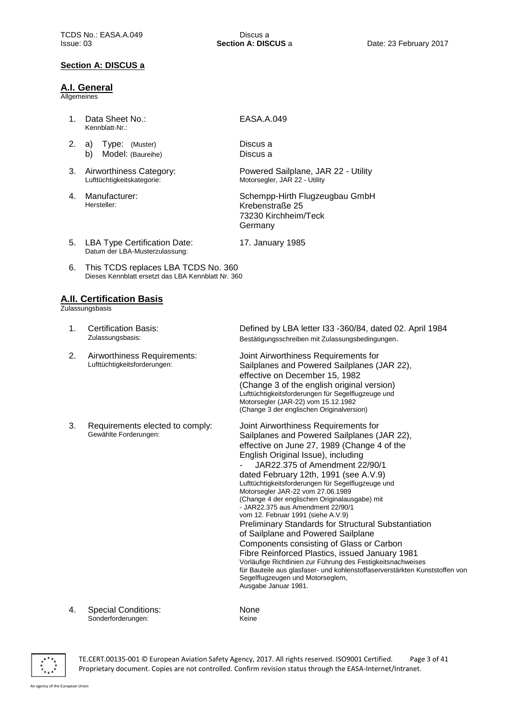### **Section A: DISCUS a**

#### **A.I. General**

**Allgemeines** 

- 1. Data Sheet No.: Kennblatt-Nr.:
- 2. a) Type: (Muster) b) Model: (Baureihe)
- 3. Airworthiness Category: Lufttüchtigkeitskategorie:
- 4. Manufacturer: Hersteller:

## EASA.A.049

Discus a Discus a

17. January 1985

Powered Sailplane, JAR 22 - Utility Motorsegler, JAR 22 - Utility

Schempp-Hirth Flugzeugbau GmbH Krebenstraße 25 73230 Kirchheim/Teck Germany

- 5. LBA Type Certification Date: Datum der LBA-Musterzulassung:
- 6. This TCDS replaces LBA TCDS No. 360 Dieses Kennblatt ersetzt das LBA Kennblatt Nr. 360

#### **A.II. Certification Basis**

Zulassungsbasis

| $\mathbf{1}$ . | <b>Certification Basis:</b><br>Zulassungsbasis:             | Defined by LBA letter I33 -360/84, dated 02. April 1984<br>Bestätigungsschreiben mit Zulassungsbedingungen.                                                                                                                                                                                                                                                                                                                                                                                                                                                                                                                                                                                                                                                                                                                                                                              |
|----------------|-------------------------------------------------------------|------------------------------------------------------------------------------------------------------------------------------------------------------------------------------------------------------------------------------------------------------------------------------------------------------------------------------------------------------------------------------------------------------------------------------------------------------------------------------------------------------------------------------------------------------------------------------------------------------------------------------------------------------------------------------------------------------------------------------------------------------------------------------------------------------------------------------------------------------------------------------------------|
| 2.             | Airworthiness Requirements:<br>Lufttüchtigkeitsforderungen: | Joint Airworthiness Requirements for<br>Sailplanes and Powered Sailplanes (JAR 22),<br>effective on December 15, 1982<br>(Change 3 of the english original version)<br>Lufttüchtigkeitsforderungen für Segelflugzeuge und<br>Motorsegler (JAR-22) vom 15.12.1982<br>(Change 3 der englischen Originalversion)                                                                                                                                                                                                                                                                                                                                                                                                                                                                                                                                                                            |
| 3.             | Requirements elected to comply:<br>Gewählte Forderungen:    | Joint Airworthiness Requirements for<br>Sailplanes and Powered Sailplanes (JAR 22),<br>effective on June 27, 1989 (Change 4 of the<br>English Original Issue), including<br>JAR22.375 of Amendment 22/90/1<br>dated February 12th, 1991 (see A.V.9)<br>Lufttüchtigkeitsforderungen für Segelflugzeuge und<br>Motorsegler JAR-22 vom 27.06.1989<br>(Change 4 der englischen Originalausgabe) mit<br>- JAR22.375 aus Amendment 22/90/1<br>vom 12. Februar 1991 (siehe A.V.9)<br><b>Preliminary Standards for Structural Substantiation</b><br>of Sailplane and Powered Sailplane<br>Components consisting of Glass or Carbon<br>Fibre Reinforced Plastics, issued January 1981<br>Vorläufige Richtlinien zur Führung des Festigkeitsnachweises<br>für Bauteile aus glasfaser- und kohlenstoffaserverstärkten Kunststoffen von<br>Segelflugzeugen und Motorseglern,<br>Ausgabe Januar 1981. |

4. Special Conditions: Sonderforderungen:

None Keine



TE.CERT.00135-001 © European Aviation Safety Agency, 2017. All rights reserved. ISO9001 Certified. Page 3 of 41 Proprietary document. Copies are not controlled. Confirm revision status through the EASA-Internet/Intranet.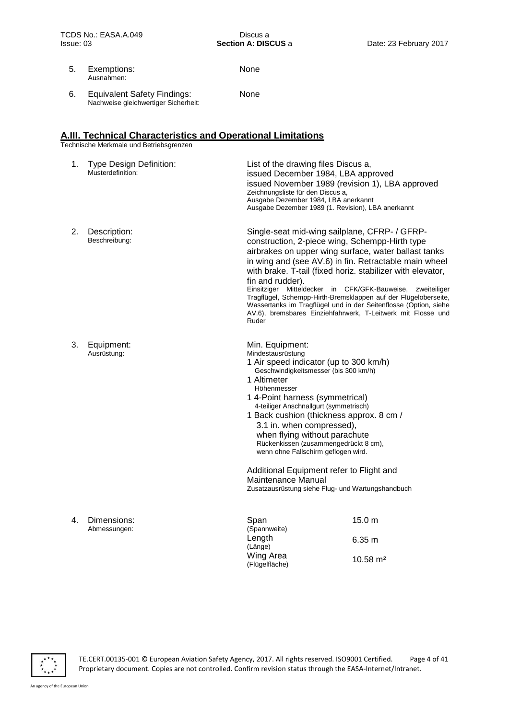None

None

- 5. Exemptions: Ausnahmen:
- 6. Equivalent Safety Findings: Nachweise gleichwertiger Sicherheit:

#### **A.III. Technical Characteristics and Operational Limitations**

Technische Merkmale und Betriebsgrenzen

| 1. | <b>Type Design Definition:</b><br>Musterdefinition: | List of the drawing files Discus a,<br>issued December 1984, LBA approved<br>issued November 1989 (revision 1), LBA approved<br>Zeichnungsliste für den Discus a,<br>Ausgabe Dezember 1984, LBA anerkannt<br>Ausgabe Dezember 1989 (1. Revision), LBA anerkannt                                                                                                                                                              |                                                                                                                                                                                                                     |
|----|-----------------------------------------------------|------------------------------------------------------------------------------------------------------------------------------------------------------------------------------------------------------------------------------------------------------------------------------------------------------------------------------------------------------------------------------------------------------------------------------|---------------------------------------------------------------------------------------------------------------------------------------------------------------------------------------------------------------------|
| 2. | Description:<br>Beschreibung:                       | Single-seat mid-wing sailplane, CFRP- / GFRP-<br>construction, 2-piece wing, Schempp-Hirth type<br>airbrakes on upper wing surface, water ballast tanks<br>in wing and (see AV.6) in fin. Retractable main wheel<br>with brake. T-tail (fixed horiz. stabilizer with elevator,<br>fin and rudder).<br>Einsitziger Mitteldecker in CFK/GFK-Bauweise,<br>Ruder                                                                 | zweiteiliger<br>Tragflügel, Schempp-Hirth-Bremsklappen auf der Flügeloberseite,<br>Wassertanks im Tragflügel und in der Seitenflosse (Option, siehe<br>AV.6), bremsbares Einziehfahrwerk, T-Leitwerk mit Flosse und |
| 3. | Equipment:<br>Ausrüstung:                           | Min. Equipment:<br>Mindestausrüstung<br>1 Air speed indicator (up to 300 km/h)<br>Geschwindigkeitsmesser (bis 300 km/h)<br>1 Altimeter<br>Höhenmesser<br>1 4-Point harness (symmetrical)<br>4-teiliger Anschnallgurt (symmetrisch)<br>1 Back cushion (thickness approx. 8 cm /<br>3.1 in. when compressed),<br>when flying without parachute<br>Rückenkissen (zusammengedrückt 8 cm),<br>wenn ohne Fallschirm geflogen wird. |                                                                                                                                                                                                                     |
|    |                                                     | Additional Equipment refer to Flight and<br>Maintenance Manual<br>Zusatzausrüstung siehe Flug- und Wartungshandbuch                                                                                                                                                                                                                                                                                                          |                                                                                                                                                                                                                     |
| 4. | Dimensions:<br>Abmessungen:                         | Span<br>(Spannweite)<br>Length                                                                                                                                                                                                                                                                                                                                                                                               | 15.0 <sub>m</sub>                                                                                                                                                                                                   |
|    |                                                     | (Länge)<br>Wing Area                                                                                                                                                                                                                                                                                                                                                                                                         | 6.35 m<br>$10.58 \text{ m}^2$                                                                                                                                                                                       |



TE.CERT.00135-001 © European Aviation Safety Agency, 2017. All rights reserved. ISO9001 Certified. Page 4 of 41 Proprietary document. Copies are not controlled. Confirm revision status through the EASA-Internet/Intranet.

(Flügelfläche)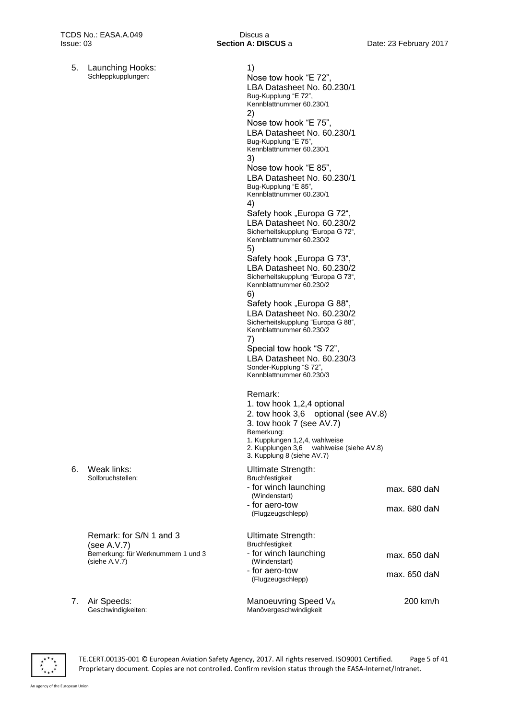5. Launching Hooks: Schleppkupplungen:

| 1)<br>Nose tow hook "E 72",<br>LBA Datasheet No. 60.230/1<br>Bug-Kupplung "E 72",<br>Kennblattnummer 60.230/1                                                                                                                      |                |
|------------------------------------------------------------------------------------------------------------------------------------------------------------------------------------------------------------------------------------|----------------|
| 2)<br>Nose tow hook "E 75",<br>LBA Datasheet No. 60.230/1<br>Bug-Kupplung "E 75",<br>Kennblattnummer 60.230/1                                                                                                                      |                |
| 3)<br>Nose tow hook "E 85",<br>LBA Datasheet No. 60.230/1<br>Bug-Kupplung "E 85",                                                                                                                                                  |                |
| Kennblattnummer 60.230/1<br>4)                                                                                                                                                                                                     |                |
| Safety hook "Europa G 72",<br>LBA Datasheet No. 60.230/2<br>Sicherheitskupplung "Europa G 72",<br>Kennblattnummer 60.230/2<br>5)                                                                                                   |                |
| Safety hook "Europa G 73",<br>LBA Datasheet No. 60.230/2<br>Sicherheitskupplung "Europa G 73",<br>Kennblattnummer 60.230/2<br>6)                                                                                                   |                |
| Safety hook "Europa G 88",<br>LBA Datasheet No. 60.230/2<br>Sicherheitskupplung "Europa G 88",<br>Kennblattnummer 60.230/2<br>7)                                                                                                   |                |
| Special tow hook "S 72",<br>LBA Datasheet No. 60.230/3<br>Sonder-Kupplung "S 72",<br>Kennblattnummer 60.230/3                                                                                                                      |                |
| Remark:<br>1. tow hook 1,2,4 optional<br>2. tow hook 3,6 optional (see AV.8)<br>3. tow hook 7 (see AV.7)<br>Bemerkung:<br>1. Kupplungen 1,2,4, wahlweise<br>2. Kupplungen 3,6 wahlweise (siehe AV.8)<br>3. Kupplung 8 (siehe AV.7) |                |
| Ultimate Strength:<br><b>Bruchfestigkeit</b><br>- for winch launching                                                                                                                                                              | max. 680 daN   |
| (Windenstart)<br>- for aero-tow<br>(Flugzeugschlepp)                                                                                                                                                                               | $max. 680$ daN |
| Ultimate Strength:<br>Bruchfestigkeit                                                                                                                                                                                              |                |
| - for winch launching<br>(Windenstart)                                                                                                                                                                                             | max. 650 daN   |
| - for aero-tow<br>(Flugzeugschlepp)                                                                                                                                                                                                | max. 650 daN   |
| Manoeuvring Speed VA<br>Manövergeschwindigkeit                                                                                                                                                                                     | 200 km/h       |

6. Weak links: Sollbruchstellen:

> Remark: for S/N 1 and 3 (see A.V.7) Bemerkung: für Werknummern 1 und 3 (siehe A.V.7)

7. Air Speeds: Geschwindigkeiten:

 $\overline{\mathbf{r}^{\star}_{\star}}$ 

TE.CERT.00135-001 © European Aviation Safety Agency, 2017. All rights reserved. ISO9001 Certified. Page 5 of 41 Proprietary document. Copies are not controlled. Confirm revision status through the EASA-Internet/Intranet.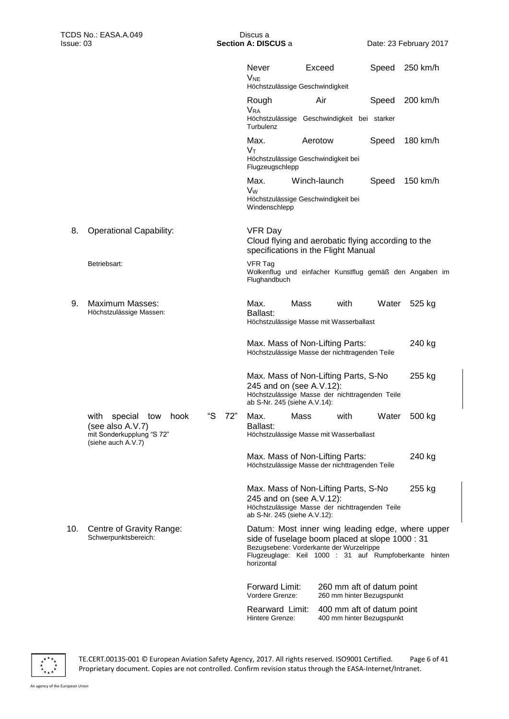|     |                                                                                                       |           | Never<br><b>V<sub>NE</sub></b><br>Höchstzulässige Geschwindigkeit                                                                                  | Exceed       |      | Speed                                                  | 250 km/h                                                                                                   |
|-----|-------------------------------------------------------------------------------------------------------|-----------|----------------------------------------------------------------------------------------------------------------------------------------------------|--------------|------|--------------------------------------------------------|------------------------------------------------------------------------------------------------------------|
|     |                                                                                                       |           | Rough<br><b>VRA</b>                                                                                                                                | Air          |      | Speed                                                  | 200 km/h                                                                                                   |
|     |                                                                                                       |           | Höchstzulässige Geschwindigkeit bei starker<br>Turbulenz                                                                                           |              |      |                                                        |                                                                                                            |
|     |                                                                                                       |           | Max.<br>Vт                                                                                                                                         | Aerotow      |      | Speed                                                  | 180 km/h                                                                                                   |
|     |                                                                                                       |           | Höchstzulässige Geschwindigkeit bei<br>Flugzeugschlepp                                                                                             |              |      |                                                        |                                                                                                            |
|     |                                                                                                       |           | Max.<br>Vw<br>Höchstzulässige Geschwindigkeit bei<br>Windenschlepp                                                                                 | Winch-launch |      | Speed                                                  | $150$ km/h                                                                                                 |
| 8.  | <b>Operational Capability:</b>                                                                        |           | VFR Day<br>Cloud flying and aerobatic flying according to the<br>specifications in the Flight Manual                                               |              |      |                                                        |                                                                                                            |
|     | Betriebsart:                                                                                          |           | <b>VFR Tag</b><br>Flughandbuch                                                                                                                     |              |      |                                                        | Wolkenflug und einfacher Kunstflug gemäß den Angaben im                                                    |
| 9.  | Maximum Masses:<br>Höchstzulässige Massen:                                                            |           | Max.<br>Ballast:<br>Höchstzulässige Masse mit Wasserballast                                                                                        | Mass         | with | Water                                                  | 525 kg                                                                                                     |
|     |                                                                                                       |           | Max. Mass of Non-Lifting Parts:<br>Höchstzulässige Masse der nichttragenden Teile                                                                  |              |      |                                                        | 240 kg                                                                                                     |
|     |                                                                                                       |           | Max. Mass of Non-Lifting Parts, S-No<br>245 and on (see A.V.12):<br>Höchstzulässige Masse der nichttragenden Teile<br>ab S-Nr. 245 (siehe A.V.14): |              |      |                                                        | 255 kg                                                                                                     |
|     | with<br>special<br>tow<br>hook<br>(see also A.V.7)<br>mit Sonderkupplung "S 72"<br>(siehe auch A.V.7) | "S<br>72" | Max.<br>Ballast:<br>Höchstzulässige Masse mit Wasserballast                                                                                        | Mass         | with | Water                                                  | 500 kg                                                                                                     |
|     |                                                                                                       |           | Max. Mass of Non-Lifting Parts:<br>Höchstzulässige Masse der nichttragenden Teile                                                                  |              |      |                                                        | 240 kg                                                                                                     |
|     |                                                                                                       |           | Max. Mass of Non-Lifting Parts, S-No<br>245 and on (see A.V.12):<br>Höchstzulässige Masse der nichttragenden Teile<br>ab S-Nr. 245 (siehe A.V.12): |              |      |                                                        | 255 kg                                                                                                     |
| 10. | Centre of Gravity Range:<br>Schwerpunktsbereich:                                                      |           | side of fuselage boom placed at slope 1000 : 31<br>Bezugsebene: Vorderkante der Wurzelrippe<br>horizontal                                          |              |      |                                                        | Datum: Most inner wing leading edge, where upper<br>Flugzeuglage: Keil 1000 : 31 auf Rumpfoberkante hinten |
|     |                                                                                                       |           | Forward Limit:<br>Vordere Grenze:                                                                                                                  |              |      | 260 mm aft of datum point<br>260 mm hinter Bezugspunkt |                                                                                                            |
|     |                                                                                                       |           | Rearward Limit:<br>Hintere Grenze:                                                                                                                 |              |      | 400 mm aft of datum point<br>400 mm hinter Bezugspunkt |                                                                                                            |

 $\overline{\mathbf{r}^{\star}_{\star}}^{\star\star}_{\star\star}$ 

TE.CERT.00135-001 © European Aviation Safety Agency, 2017. All rights reserved. ISO9001 Certified. Page 6 of 41 Proprietary document. Copies are not controlled. Confirm revision status through the EASA-Internet/Intranet.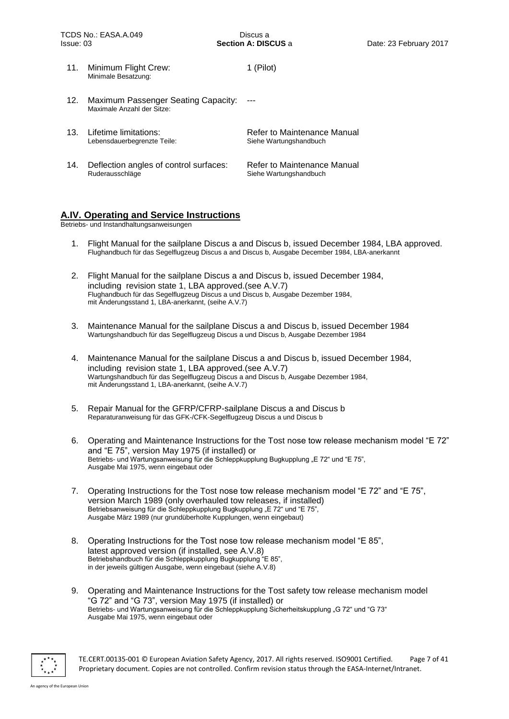11. Minimum Flight Crew: Minimale Besatzung: 1 (Pilot) 12. Maximum Passenger Seating Capacity: Maximale Anzahl der Sitze: --- 13. Lifetime limitations: Lebensdauerbegrenzte Teile: Refer to Maintenance Manual Siehe Wartungshandbuch 14. Deflection angles of control surfaces: Ruderausschläge Refer to Maintenance Manual Siehe Wartungshandbuch

#### **A.IV. Operating and Service Instructions**

Betriebs- und Instandhaltungsanweisungen

- 1. Flight Manual for the sailplane Discus a and Discus b, issued December 1984, LBA approved. Flughandbuch für das Segelflugzeug Discus a and Discus b, Ausgabe December 1984, LBA-anerkannt
- 2. Flight Manual for the sailplane Discus a and Discus b, issued December 1984, including revision state 1, LBA approved.(see A.V.7) Flughandbuch für das Segelflugzeug Discus a und Discus b, Ausgabe Dezember 1984, mit Änderungsstand 1, LBA-anerkannt, (seihe A.V.7)
- 3. Maintenance Manual for the sailplane Discus a and Discus b, issued December 1984 Wartungshandbuch für das Segelflugzeug Discus a und Discus b, Ausgabe Dezember 1984
- 4. Maintenance Manual for the sailplane Discus a and Discus b, issued December 1984, including revision state 1, LBA approved.(see A.V.7) Wartungshandbuch für das Segelflugzeug Discus a and Discus b, Ausgabe Dezember 1984, mit Änderungsstand 1, LBA-anerkannt, (seihe A.V.7)
- 5. Repair Manual for the GFRP/CFRP-sailplane Discus a and Discus b Reparaturanweisung für das GFK-/CFK-Segelflugzeug Discus a und Discus b
- 6. Operating and Maintenance Instructions for the Tost nose tow release mechanism model "E 72" and "E 75", version May 1975 (if installed) or Betriebs- und Wartungsanweisung für die Schleppkupplung Bugkupplung "E 72" und "E 75", Ausgabe Mai 1975, wenn eingebaut oder
- 7. Operating Instructions for the Tost nose tow release mechanism model "E 72" and "E 75", version March 1989 (only overhauled tow releases, if installed) Betriebsanweisung für die Schleppkupplung Bugkupplung "E 72" und "E 75", Ausgabe März 1989 (nur grundüberholte Kupplungen, wenn eingebaut)
- 8. Operating Instructions for the Tost nose tow release mechanism model "E 85", latest approved version (if installed, see A.V.8) Betriebshandbuch für die Schleppkupplung Bugkupplung "E 85", in der jeweils gültigen Ausgabe, wenn eingebaut (siehe A.V.8)
- 9. Operating and Maintenance Instructions for the Tost safety tow release mechanism model "G 72" and "G 73", version May 1975 (if installed) or Betriebs- und Wartungsanweisung für die Schleppkupplung Sicherheitskupplung "G 72" und "G 73" Ausgabe Mai 1975, wenn eingebaut oder



TE.CERT.00135-001 © European Aviation Safety Agency, 2017. All rights reserved. ISO9001 Certified. Page 7 of 41 Proprietary document. Copies are not controlled. Confirm revision status through the EASA-Internet/Intranet.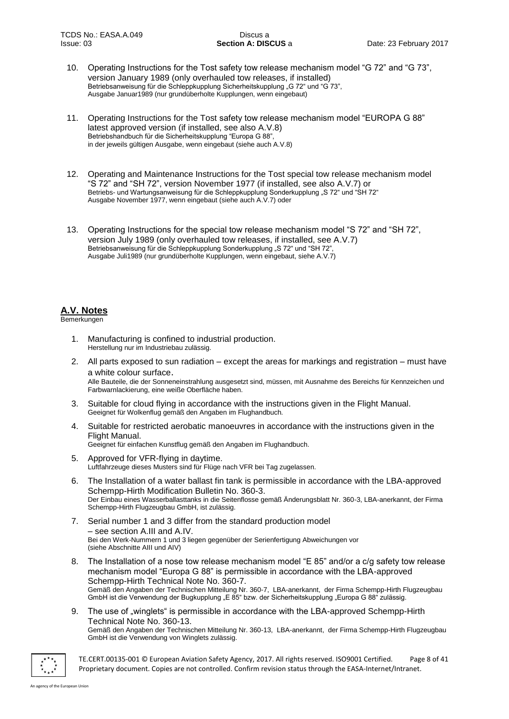- 10. Operating Instructions for the Tost safety tow release mechanism model "G 72" and "G 73", version January 1989 (only overhauled tow releases, if installed) Betriebsanweisung für die Schleppkupplung Sicherheitskupplung "G 72" und "G 73", Ausgabe Januar1989 (nur grundüberholte Kupplungen, wenn eingebaut)
- 11. Operating Instructions for the Tost safety tow release mechanism model "EUROPA G 88" latest approved version (if installed, see also A.V.8) Betriebshandbuch für die Sicherheitskupplung "Europa G 88", in der jeweils gültigen Ausgabe, wenn eingebaut (siehe auch A.V.8)
- 12. Operating and Maintenance Instructions for the Tost special tow release mechanism model "S 72" and "SH 72", version November 1977 (if installed, see also A.V.7) or Betriebs- und Wartungsanweisung für die Schleppkupplung Sonderkupplung "S 72" und "SH 72" Ausgabe November 1977, wenn eingebaut (siehe auch A.V.7) oder
- 13. Operating Instructions for the special tow release mechanism model "S 72" and "SH 72", version July 1989 (only overhauled tow releases, if installed, see A.V.7) Betriebsanweisung für die Schleppkupplung Sonderkupplung "S 72" und "SH 72", Ausgabe Juli1989 (nur grundüberholte Kupplungen, wenn eingebaut, siehe A.V.7)

## **A.V. Notes**

**Bemerkungen** 

- 1. Manufacturing is confined to industrial production. Herstellung nur im Industriebau zulässig.
- 2. All parts exposed to sun radiation except the areas for markings and registration must have a white colour surface. Alle Bauteile, die der Sonneneinstrahlung ausgesetzt sind, müssen, mit Ausnahme des Bereichs für Kennzeichen und Farbwarnlackierung, eine weiße Oberfläche haben.
- 3. Suitable for cloud flying in accordance with the instructions given in the Flight Manual. Geeignet für Wolkenflug gemäß den Angaben im Flughandbuch.
- 4. Suitable for restricted aerobatic manoeuvres in accordance with the instructions given in the Flight Manual. Geeignet für einfachen Kunstflug gemäß den Angaben im Flughandbuch.
- 5. Approved for VFR-flying in daytime. Luftfahrzeuge dieses Musters sind für Flüge nach VFR bei Tag zugelassen.
- 6. The Installation of a water ballast fin tank is permissible in accordance with the LBA-approved Schempp-Hirth Modification Bulletin No. 360-3. Der Einbau eines Wasserballasttanks in die Seitenflosse gemäß Änderungsblatt Nr. 360-3, LBA-anerkannt, der Firma Schempp-Hirth Flugzeugbau GmbH, ist zulässig.
- 7. Serial number 1 and 3 differ from the standard production model – see section A.III and A.IV. Bei den Werk-Nummern 1 und 3 liegen gegenüber der Serienfertigung Abweichungen vor (siehe Abschnitte AIII und AIV)
- 8. The Installation of a nose tow release mechanism model "E 85" and/or a c/g safety tow release mechanism model "Europa G 88" is permissible in accordance with the LBA-approved Schempp-Hirth Technical Note No. 360-7. Gemäß den Angaben der Technischen Mitteilung Nr. 360-7, LBA-anerkannt, der Firma Schempp-Hirth Flugzeugbau GmbH ist die Verwendung der Bugkupplung "E 85" bzw. der Sicherheitskupplung "Europa G 88" zulässig.
- 9. The use of "winglets" is permissible in accordance with the LBA-approved Schempp-Hirth Technical Note No. 360-13. Gemäß den Angaben der Technischen Mitteilung Nr. 360-13, LBA-anerkannt, der Firma Schempp-Hirth Flugzeugbau GmbH ist die Verwendung von Winglets zulässig.



TE.CERT.00135-001 © European Aviation Safety Agency, 2017. All rights reserved. ISO9001 Certified. Page 8 of 41 Proprietary document. Copies are not controlled. Confirm revision status through the EASA-Internet/Intranet.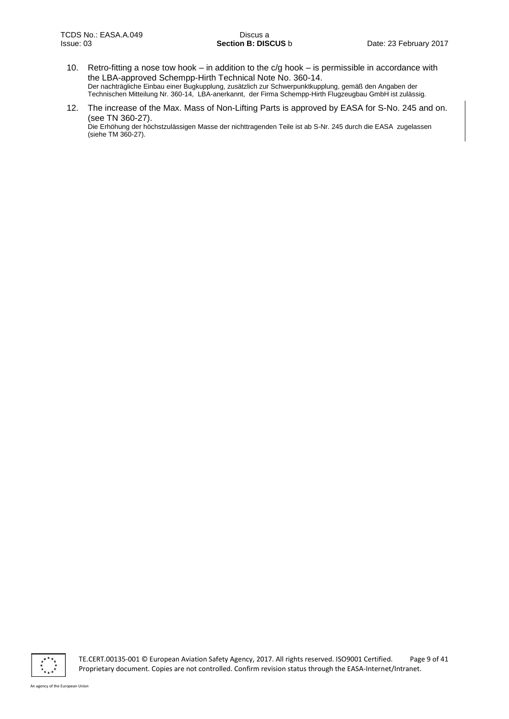- 10. Retro-fitting a nose tow hook in addition to the c/g hook is permissible in accordance with the LBA-approved Schempp-Hirth Technical Note No. 360-14. Der nachträgliche Einbau einer Bugkupplung, zusätzlich zur Schwerpunktkupplung, gemäß den Angaben der Technischen Mitteilung Nr. 360-14, LBA-anerkannt, der Firma Schempp-Hirth Flugzeugbau GmbH ist zulässig.
- 12. The increase of the Max. Mass of Non-Lifting Parts is approved by EASA for S-No. 245 and on. (see TN 360-27). Die Erhöhung der höchstzulässigen Masse der nichttragenden Teile ist ab S-Nr. 245 durch die EASA zugelassen (siehe TM 360-27).



TE.CERT.00135-001 © European Aviation Safety Agency, 2017. All rights reserved. ISO9001 Certified. Page 9 of 41 Proprietary document. Copies are not controlled. Confirm revision status through the EASA-Internet/Intranet.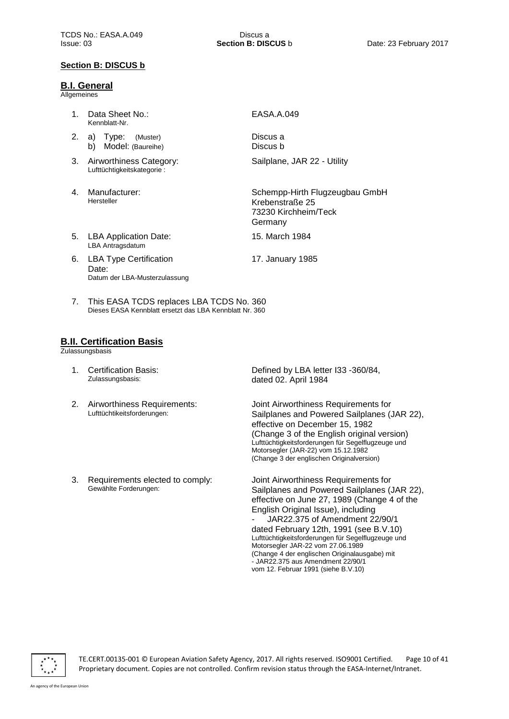#### **Section B: DISCUS b**

#### **B.I. General**

**Allgemeines** 

- 1. Data Sheet No.: Kennblatt-Nr.
- 2. a) Type: (Muster) b) Model: (Baureihe)
- 3. Airworthiness Category: Lufttüchtigkeitskategorie :
- 4. Manufacturer: Hersteller

EASA.A.049

Discus a Discus b

Sailplane, JAR 22 - Utility

Schempp-Hirth Flugzeugbau GmbH Krebenstraße 25 73230 Kirchheim/Teck Germany

5. LBA Application Date: LBA Antragsdatum

17. January 1985

15. March 1984

- 6. LBA Type Certification Date: Datum der LBA-Musterzulassung
- 
- 7. This EASA TCDS replaces LBA TCDS No. 360 Dieses EASA Kennblatt ersetzt das LBA Kennblatt Nr. 360

## **B.II. Certification Basis**

**Zulassungsbasis** 

- 1. Certification Basis: Zulassungsbasis:
- 2. Airworthiness Requirements: Lufttüchtikeitsforderungen:
- 3. Requirements elected to comply: Gewählte Forderungen:

Defined by LBA letter I33 -360/84, dated 02. April 1984

Joint Airworthiness Requirements for Sailplanes and Powered Sailplanes (JAR 22), effective on December 15, 1982 (Change 3 of the English original version) Lufttüchtigkeitsforderungen für Segelflugzeuge und Motorsegler (JAR-22) vom 15.12.1982 (Change 3 der englischen Originalversion)

Joint Airworthiness Requirements for Sailplanes and Powered Sailplanes (JAR 22), effective on June 27, 1989 (Change 4 of the English Original Issue), including - JAR22.375 of Amendment 22/90/1 dated February 12th, 1991 (see B.V.10) Lufttüchtigkeitsforderungen für Segelflugzeuge und Motorsegler JAR-22 vom 27.06.1989 (Change 4 der englischen Originalausgabe) mit  $-$  JAR22.375 aus Amendment 22/90/1 vom 12. Februar 1991 (siehe B.V.10)

TE.CERT.00135-001 © European Aviation Safety Agency, 2017. All rights reserved. ISO9001 Certified. Page 10 of 41 Proprietary document. Copies are not controlled. Confirm revision status through the EASA-Internet/Intranet.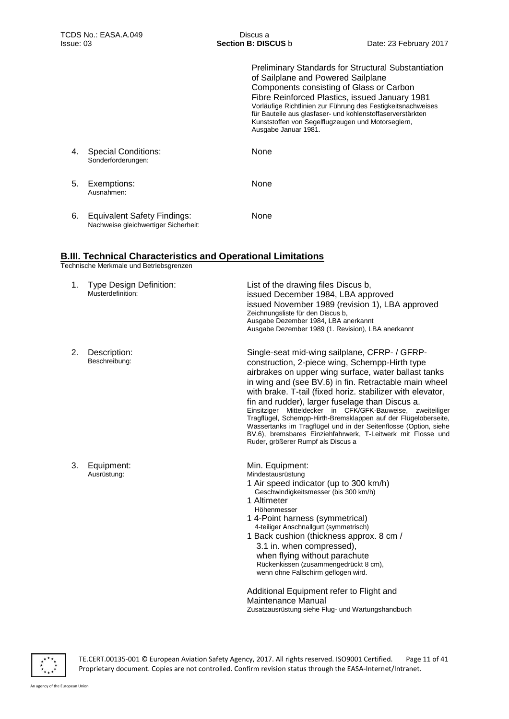Preliminary Standards for Structural Substantiation of Sailplane and Powered Sailplane Components consisting of Glass or Carbon Fibre Reinforced Plastics, issued January 1981 Vorläufige Richtlinien zur Führung des Festigkeitsnachweises für Bauteile aus glasfaser- und kohlenstoffaserverstärkten Kunststoffen von Segelflugzeugen und Motorseglern, Ausgabe Januar 1981.

- 4. Special Conditions: Sonderforderungen:
- 5. Exemptions: Ausnahmen:

None

None

None

6. Equivalent Safety Findings: Nachweise gleichwertiger Sicherheit:

## **B.III. Technical Characteristics and Operational Limitations**

Technische Merkmale und Betriebsgrenzen

| 1. | <b>Type Design Definition:</b><br>Musterdefinition: | List of the drawing files Discus b,<br>issued December 1984, LBA approved<br>issued November 1989 (revision 1), LBA approved<br>Zeichnungsliste für den Discus b,<br>Ausgabe Dezember 1984, LBA anerkannt<br>Ausgabe Dezember 1989 (1. Revision), LBA anerkannt                                                                                                                                                                                                                                                                                                                                                                                 |
|----|-----------------------------------------------------|-------------------------------------------------------------------------------------------------------------------------------------------------------------------------------------------------------------------------------------------------------------------------------------------------------------------------------------------------------------------------------------------------------------------------------------------------------------------------------------------------------------------------------------------------------------------------------------------------------------------------------------------------|
| 2. | Description:<br>Beschreibung:                       | Single-seat mid-wing sailplane, CFRP- / GFRP-<br>construction, 2-piece wing, Schempp-Hirth type<br>airbrakes on upper wing surface, water ballast tanks<br>in wing and (see BV.6) in fin. Retractable main wheel<br>with brake. T-tail (fixed horiz. stabilizer with elevator,<br>fin and rudder), larger fuselage than Discus a.<br>Einsitziger Mitteldecker in CFK/GFK-Bauweise,<br>zweiteiliger<br>Tragflügel, Schempp-Hirth-Bremsklappen auf der Flügeloberseite,<br>Wassertanks im Tragflügel und in der Seitenflosse (Option, siehe<br>BV.6), bremsbares Einziehfahrwerk, T-Leitwerk mit Flosse und<br>Ruder, größerer Rumpf als Discus a |
| 3. | Equipment:<br>Ausrüstung:                           | Min. Equipment:<br>Mindestausrüstung<br>1 Air speed indicator (up to 300 km/h)<br>Geschwindigkeitsmesser (bis 300 km/h)<br>1 Altimeter<br>Höhenmesser<br>1 4-Point harness (symmetrical)<br>4-teiliger Anschnallgurt (symmetrisch)<br>1 Back cushion (thickness approx. 8 cm /<br>3.1 in. when compressed),<br>when flying without parachute<br>Rückenkissen (zusammengedrückt 8 cm),<br>wenn ohne Fallschirm geflogen wird.                                                                                                                                                                                                                    |
|    |                                                     | Additional Equipment refer to Flight and<br>Maintenance Manual<br>Zusatzausrüstung siehe Flug- und Wartungshandbuch                                                                                                                                                                                                                                                                                                                                                                                                                                                                                                                             |



TE.CERT.00135-001 © European Aviation Safety Agency, 2017. All rights reserved. ISO9001 Certified. Page 11 of 41 Proprietary document. Copies are not controlled. Confirm revision status through the EASA-Internet/Intranet.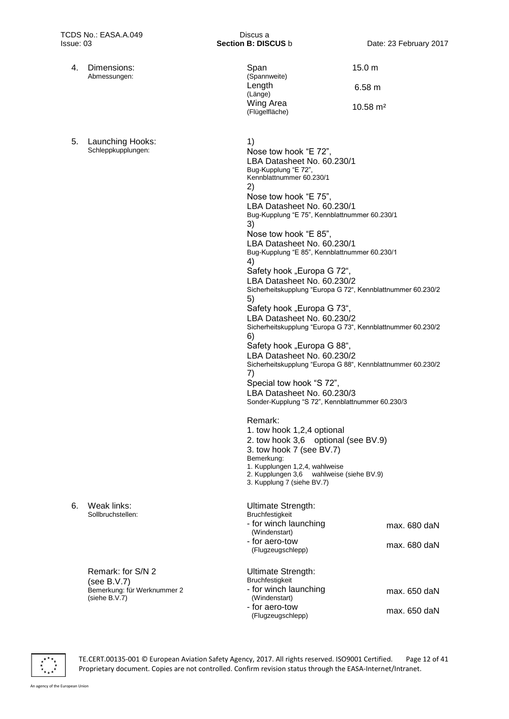- 4. Dimensions: Abmessungen:
- 5. Launching Hooks: Schleppkupplungen:

Sollbruchstellen:

6. Weak links:

Remark: for S/N 2 (see B.V.7) Bemerkung: für Werknummer 2 (siehe B.V.7)

| Span<br>(Spannweite)        | 15.0 <sub>m</sub>   |
|-----------------------------|---------------------|
| Length<br>(Länge)           | 6.58 m              |
| Wing Area<br>(Flügelfläche) | $10.58 \text{ m}^2$ |

1) Nose tow hook "E 72", LBA Datasheet No. 60.230/1 Bug-Kupplung "E 72", Kennblattnummer 60.230/1 2) Nose tow hook "E 75", LBA Datasheet No. 60.230/1 Bug-Kupplung "E 75", Kennblattnummer 60.230/1 3) Nose tow hook "E 85", LBA Datasheet No. 60.230/1 Bug-Kupplung "E 85", Kennblattnummer 60.230/1 4) Safety hook "Europa G 72", LBA Datasheet No. 60.230/2 Sicherheitskupplung "Europa G 72", Kennblattnummer 60.230/2 5) Safety hook "Europa G 73", LBA Datasheet No. 60.230/2 Sicherheitskupplung "Europa G 73", Kennblattnummer 60.230/2 6) Safety hook "Europa G 88", LBA Datasheet No. 60.230/2 Sicherheitskupplung "Europa G 88", Kennblattnummer 60.230/2 7) Special tow hook "S 72", LBA Datasheet No. 60.230/3 Sonder-Kupplung "S 72", Kennblattnummer 60.230/3 Remark: 1. tow hook 1,2,4 optional 2. tow hook 3,6 optional (see BV.9) 3. tow hook 7 (see BV.7) Bemerkung: 1. Kupplungen 1,2,4, wahlweise 2. Kupplungen 3,6 wahlweise (siehe BV.9) 3. Kupplung 7 (siehe BV.7) Ultimate Strength: Bruchfestigkeit - for winch launching (Windenstart) - for aero-tow (Flugzeugschlepp) max. 680 daN max. 680 daN Ultimate Strength: **Bruchfestigkeit** 

| <b>DI UUI II CONGINUI</b> |              |
|---------------------------|--------------|
| - for winch launching     | max. 650 daN |
| (Windenstart)             |              |
| - for aero-tow            | max. 650 daN |
| (Flugzeugschlepp)         |              |

TE.CERT.00135-001 © European Aviation Safety Agency, 2017. All rights reserved. ISO9001 Certified. Page 12 of 41 Proprietary document. Copies are not controlled. Confirm revision status through the EASA-Internet/Intranet.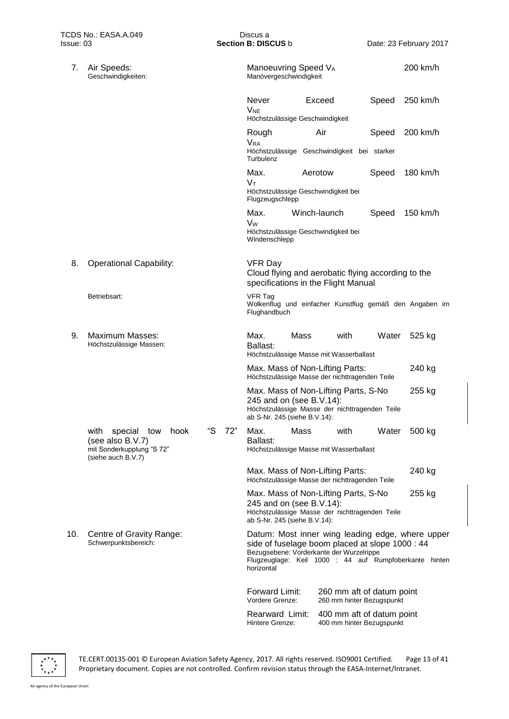| TCDS No.: EASA.A.049<br>lssue: 03 |                                                                                                       | Discus a<br>Section B: DISCUS b |                                                                          |              | Date: 23 February 2017                                                                      |       |                                                                                                            |
|-----------------------------------|-------------------------------------------------------------------------------------------------------|---------------------------------|--------------------------------------------------------------------------|--------------|---------------------------------------------------------------------------------------------|-------|------------------------------------------------------------------------------------------------------------|
| 7.                                | Air Speeds:<br>Geschwindigkeiten:                                                                     |                                 | Manoeuvring Speed VA<br>Manövergeschwindigkeit                           |              |                                                                                             |       | 200 km/h                                                                                                   |
|                                   |                                                                                                       |                                 | <b>Never</b><br><b>V<sub>NE</sub></b><br>Höchstzulässige Geschwindigkeit | Exceed       |                                                                                             | Speed | 250 km/h                                                                                                   |
|                                   |                                                                                                       |                                 | Rough                                                                    | Air          |                                                                                             | Speed | 200 km/h                                                                                                   |
|                                   |                                                                                                       |                                 | <b>V<sub>RA</sub></b><br>Turbulenz                                       |              | Höchstzulässige Geschwindigkeit bei starker                                                 |       |                                                                                                            |
|                                   |                                                                                                       |                                 | Max.<br>Vт<br>Höchstzulässige Geschwindigkeit bei<br>Flugzeugschlepp     | Aerotow      |                                                                                             | Speed | 180 km/h                                                                                                   |
|                                   |                                                                                                       |                                 | Max.<br>Vw<br>Höchstzulässige Geschwindigkeit bei<br>Windenschlepp       | Winch-launch |                                                                                             | Speed | 150 km/h                                                                                                   |
| 8.                                | <b>Operational Capability:</b>                                                                        |                                 | <b>VFR Day</b>                                                           |              | Cloud flying and aerobatic flying according to the<br>specifications in the Flight Manual   |       |                                                                                                            |
|                                   | Betriebsart:                                                                                          |                                 | <b>VFR Tag</b><br>Flughandbuch                                           |              |                                                                                             |       | Wolkenflug und einfacher Kunstflug gemäß den Angaben im                                                    |
| 9.                                | Maximum Masses:<br>Höchstzulässige Massen:                                                            |                                 | Max.<br>Ballast:                                                         | Mass         | with<br>Höchstzulässige Masse mit Wasserballast                                             | Water | 525 kg                                                                                                     |
|                                   |                                                                                                       |                                 |                                                                          |              | Max. Mass of Non-Lifting Parts:<br>Höchstzulässige Masse der nichttragenden Teile           |       | 240 kg                                                                                                     |
|                                   |                                                                                                       |                                 | 245 and on (see B.V.14):<br>ab S-Nr. 245 (siehe B.V.14):                 |              | Max. Mass of Non-Lifting Parts, S-No<br>Höchstzulässige Masse der nichttragenden Teile      |       | 255 kg                                                                                                     |
|                                   | with<br>special<br>tow<br>hook<br>(see also B.V.7)<br>mit Sonderkupplung "S 72"<br>(siehe auch B.V.7) | "S<br>72"                       | Max.<br>Ballast:                                                         | Mass         | with<br>Höchstzulässige Masse mit Wasserballast                                             | Water | 500 kg                                                                                                     |
|                                   |                                                                                                       |                                 |                                                                          |              | Max. Mass of Non-Lifting Parts:<br>Höchstzulässige Masse der nichttragenden Teile           |       | 240 kg                                                                                                     |
|                                   |                                                                                                       |                                 | 245 and on (see B.V.14):<br>ab S-Nr. 245 (siehe B.V.14):                 |              | Max. Mass of Non-Lifting Parts, S-No<br>Höchstzulässige Masse der nichttragenden Teile      |       | 255 kg                                                                                                     |
| 10.                               | Centre of Gravity Range:<br>Schwerpunktsbereich:                                                      |                                 | horizontal                                                               |              | side of fuselage boom placed at slope 1000 : 44<br>Bezugsebene: Vorderkante der Wurzelrippe |       | Datum: Most inner wing leading edge, where upper<br>Flugzeuglage: Keil 1000 : 44 auf Rumpfoberkante hinten |
|                                   |                                                                                                       |                                 | Forward Limit:<br>Vordere Grenze:                                        |              | 260 mm aft of datum point<br>260 mm hinter Bezugspunkt                                      |       |                                                                                                            |
|                                   |                                                                                                       |                                 | Rearward Limit:<br>Hintere Grenze:                                       |              | 400 mm aft of datum point<br>400 mm hinter Bezugspunkt                                      |       |                                                                                                            |



TE.CERT.00135-001 © European Aviation Safety Agency, 2017. All rights reserved. ISO9001 Certified. Page 13 of 41 Proprietary document. Copies are not controlled. Confirm revision status through the EASA-Internet/Intranet.

 $\overline{\mathbf{r}^{\star}_{\star}}^{\star\star}_{\star\star}$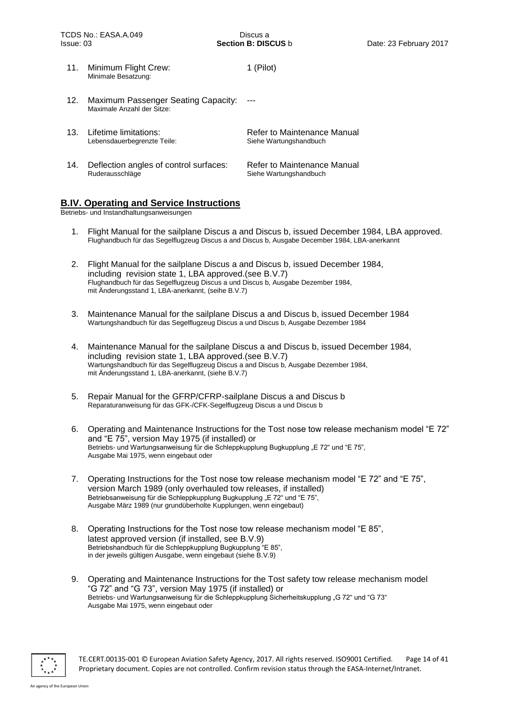| 11. | Minimum Flight Crew:<br>Minimale Besatzung:                       | 1 (Pilot)                                             |
|-----|-------------------------------------------------------------------|-------------------------------------------------------|
| 12. | Maximum Passenger Seating Capacity:<br>Maximale Anzahl der Sitze: |                                                       |
|     | 13. Lifetime limitations:<br>Lebensdauerbegrenzte Teile:          | Refer to Maintenance Manual<br>Siehe Wartungshandbuch |
| 14. | Deflection angles of control surfaces:<br>Ruderausschläge         | Refer to Maintenance Manual<br>Siehe Wartungshandbuch |

#### **B.IV. Operating and Service Instructions**

Betriebs- und Instandhaltungsanweisungen

- 1. Flight Manual for the sailplane Discus a and Discus b, issued December 1984, LBA approved. Flughandbuch für das Segelflugzeug Discus a and Discus b, Ausgabe December 1984, LBA-anerkannt
- 2. Flight Manual for the sailplane Discus a and Discus b, issued December 1984, including revision state 1, LBA approved.(see B.V.7) Flughandbuch für das Segelflugzeug Discus a und Discus b, Ausgabe Dezember 1984, mit Änderungsstand 1, LBA-anerkannt, (seihe B.V.7)
- 3. Maintenance Manual for the sailplane Discus a and Discus b, issued December 1984 Wartungshandbuch für das Segelflugzeug Discus a und Discus b, Ausgabe Dezember 1984
- 4. Maintenance Manual for the sailplane Discus a and Discus b, issued December 1984, including revision state 1, LBA approved.(see B.V.7) Wartungshandbuch für das Segelflugzeug Discus a and Discus b, Ausgabe Dezember 1984, mit Änderungsstand 1, LBA-anerkannt, (siehe B.V.7)
- 5. Repair Manual for the GFRP/CFRP-sailplane Discus a and Discus b Reparaturanweisung für das GFK-/CFK-Segelflugzeug Discus a und Discus b
- 6. Operating and Maintenance Instructions for the Tost nose tow release mechanism model "E 72" and "E 75", version May 1975 (if installed) or Betriebs- und Wartungsanweisung für die Schleppkupplung Bugkupplung "E 72" und "E 75", Ausgabe Mai 1975, wenn eingebaut oder
- 7. Operating Instructions for the Tost nose tow release mechanism model "E 72" and "E 75", version March 1989 (only overhauled tow releases, if installed) Betriebsanweisung für die Schleppkupplung Bugkupplung "E 72" und "E 75", Ausgabe März 1989 (nur grundüberholte Kupplungen, wenn eingebaut)
- 8. Operating Instructions for the Tost nose tow release mechanism model "E 85", latest approved version (if installed, see B.V.9) Betriebshandbuch für die Schleppkupplung Bugkupplung "E 85", in der jeweils gültigen Ausgabe, wenn eingebaut (siehe B.V.9)
- 9. Operating and Maintenance Instructions for the Tost safety tow release mechanism model "G 72" and "G 73", version May 1975 (if installed) or Betriebs- und Wartungsanweisung für die Schleppkupplung Sicherheitskupplung "G 72" und "G 73" Ausgabe Mai 1975, wenn eingebaut oder



TE.CERT.00135-001 © European Aviation Safety Agency, 2017. All rights reserved. ISO9001 Certified. Page 14 of 41 Proprietary document. Copies are not controlled. Confirm revision status through the EASA-Internet/Intranet.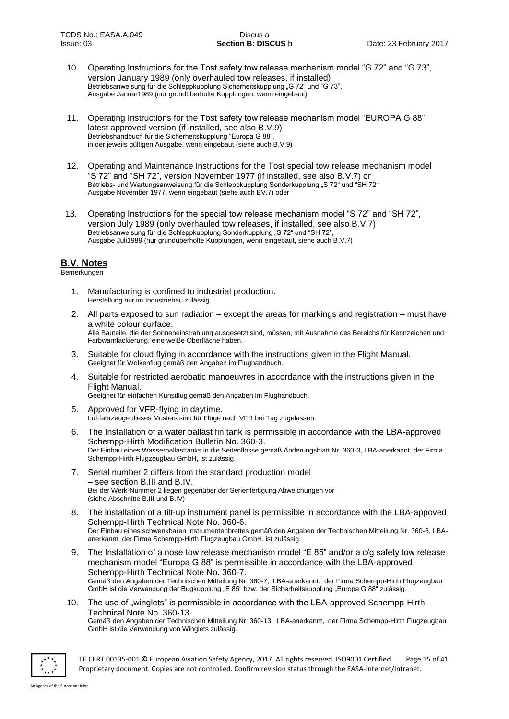- 10. Operating Instructions for the Tost safety tow release mechanism model "G 72" and "G 73", version January 1989 (only overhauled tow releases, if installed) Betriebsanweisung für die Schleppkupplung Sicherheitskupplung "G 72" und "G 73", Ausgabe Januar1989 (nur grundüberholte Kupplungen, wenn eingebaut)
- 11. Operating Instructions for the Tost safety tow release mechanism model "EUROPA G 88" latest approved version (if installed, see also B.V.9) Betriebshandbuch für die Sicherheitskupplung "Europa G 88", in der jeweils gültigen Ausgabe, wenn eingebaut (siehe auch B.V.9)
- 12. Operating and Maintenance Instructions for the Tost special tow release mechanism model "S 72" and "SH 72", version November 1977 (if installed, see also B.V.7) or Betriebs- und Wartungsanweisung für die Schleppkupplung Sonderkupplung "S 72" und "SH 72" Ausgabe November 1977, wenn eingebaut (siehe auch BV.7) oder
- 13. Operating Instructions for the special tow release mechanism model "S 72" and "SH 72", version July 1989 (only overhauled tow releases, if installed, see also B.V.7) Betriebsanweisung für die Schleppkupplung Sonderkupplung "S 72" und "SH 72". Ausgabe Juli1989 (nur grundüberholte Kupplungen, wenn eingebaut, siehe auch B.V.7)

## **B.V. Notes**

#### **Bemerkungen**

- 1. Manufacturing is confined to industrial production. Herstellung nur im Industriebau zulässig.
- 2. All parts exposed to sun radiation except the areas for markings and registration must have a white colour surface. Alle Bauteile, die der Sonneneinstrahlung ausgesetzt sind, müssen, mit Ausnahme des Bereichs für Kennzeichen und Farbwarnlackierung, eine weiße Oberfläche haben.
- 3. Suitable for cloud flying in accordance with the instructions given in the Flight Manual. Geeignet für Wolkenflug gemäß den Angaben im Flughandbuch.
- 4. Suitable for restricted aerobatic manoeuvres in accordance with the instructions given in the Flight Manual.
	- Geeignet für einfachen Kunstflug gemäß den Angaben im Flughandbuch.
- 5. Approved for VFR-flying in daytime. Luftfahrzeuge dieses Musters sind für Flüge nach VFR bei Tag zugelassen.
- 6. The Installation of a water ballast fin tank is permissible in accordance with the LBA-approved Schempp-Hirth Modification Bulletin No. 360-3. Der Einbau eines Wasserballasttanks in die Seitenflosse gemäß Änderungsblatt Nr. 360-3, LBA-anerkannt, der Firma Schempp-Hirth Flugzeugbau GmbH, ist zulässig.
- 7. Serial number 2 differs from the standard production model – see section B.III and B.IV. Bei der Werk-Nummer 2 liegen gegenüber der Serienfertigung Abweichungen vor (siehe Abschnitte B.III und B.IV)
- 8. The installation of a tilt-up instrument panel is permissible in accordance with the LBA-appoved Schempp-Hirth Technical Note No. 360-6. Der Einbau eines schwenkbaren Instrumentenbrettes gemäß den Angaben der Technischen Mitteilung Nr. 360-6, LBAanerkannt, der Firma Schempp-Hirth Flugzeugbau GmbH, ist zulässig.
- 9. The Installation of a nose tow release mechanism model "E 85" and/or a c/g safety tow release mechanism model "Europa G 88" is permissible in accordance with the LBA-approved Schempp-Hirth Technical Note No. 360-7. Gemäß den Angaben der Technischen Mitteilung Nr. 360-7, LBA-anerkannt, der Firma Schempp-Hirth Flugzeugbau GmbH ist die Verwendung der Bugkupplung "E 85" bzw. der Sicherheitskupplung "Europa G 88" zulässig.
- 10. The use of "winglets" is permissible in accordance with the LBA-approved Schempp-Hirth Technical Note No. 360-13. Gemäß den Angaben der Technischen Mitteilung Nr. 360-13, LBA-anerkannt, der Firma Schempp-Hirth Flugzeugbau GmbH ist die Verwendung von Winglets zulässig.



TE.CERT.00135-001 © European Aviation Safety Agency, 2017. All rights reserved. ISO9001 Certified. Page 15 of 41 Proprietary document. Copies are not controlled. Confirm revision status through the EASA-Internet/Intranet.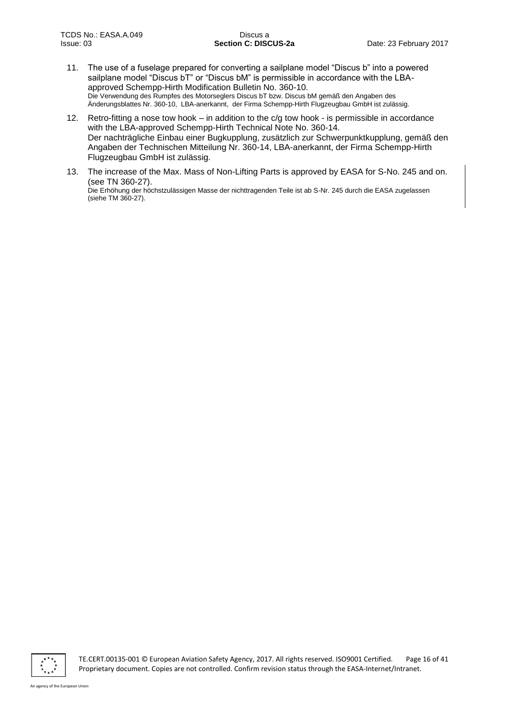- 11. The use of a fuselage prepared for converting a sailplane model "Discus b" into a powered sailplane model "Discus bT" or "Discus bM" is permissible in accordance with the LBAapproved Schempp-Hirth Modification Bulletin No. 360-10. Die Verwendung des Rumpfes des Motorseglers Discus bT bzw. Discus bM gemäß den Angaben des Änderungsblattes Nr. 360-10, LBA-anerkannt, der Firma Schempp-Hirth Flugzeugbau GmbH ist zulässig.
- 12. Retro-fitting a nose tow hook in addition to the  $c/g$  tow hook is permissible in accordance with the LBA-approved Schempp-Hirth Technical Note No. 360-14. Der nachträgliche Einbau einer Bugkupplung, zusätzlich zur Schwerpunktkupplung, gemäß den Angaben der Technischen Mitteilung Nr. 360-14, LBA-anerkannt, der Firma Schempp-Hirth Flugzeugbau GmbH ist zulässig.
- 13. The increase of the Max. Mass of Non-Lifting Parts is approved by EASA for S-No. 245 and on. (see TN 360-27). Die Erhöhung der höchstzulässigen Masse der nichttragenden Teile ist ab S-Nr. 245 durch die EASA zugelassen (siehe TM 360-27).

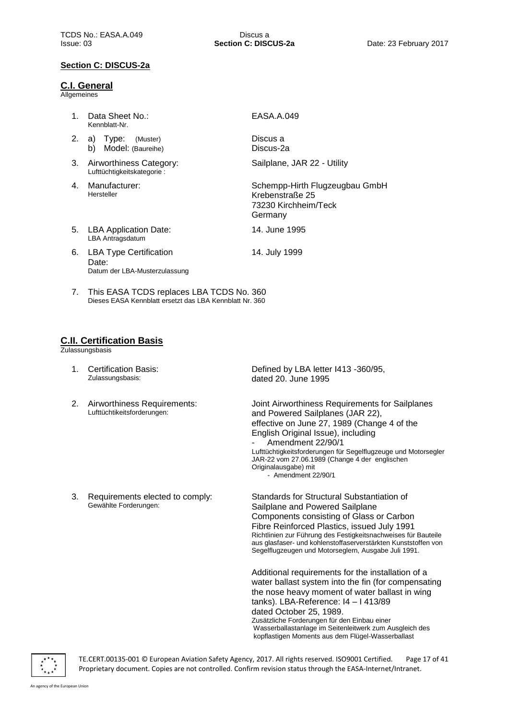#### **Section C: DISCUS-2a**

#### **C.I. General**

Allgemeines

| $1_{-}$                          | Data Sheet No.:<br>Kennblatt-Nr.                                        | EASA.A.049                                                                           |
|----------------------------------|-------------------------------------------------------------------------|--------------------------------------------------------------------------------------|
| 2.                               | a) Type:<br>(Muster)<br>b)<br>Model: (Baureihe)                         | Discus a<br>Discus-2a                                                                |
| 3.                               | Airworthiness Category:<br>Lufttüchtigkeitskategorie:                   | Sailplane, JAR 22 - Utility                                                          |
| 4.                               | Manufacturer:<br>Hersteller                                             | Schempp-Hirth Flugzeugbau GmbH<br>Krebenstraße 25<br>73230 Kirchheim/Teck<br>Germany |
| 5.                               | <b>LBA Application Date:</b><br>LBA Antragsdatum                        | 14. June 1995                                                                        |
| 6.                               | <b>LBA Type Certification</b><br>Date:<br>Datum der LBA-Musterzulassung | 14. July 1999                                                                        |
| $7_{\scriptscriptstyle{\ddots}}$ | This EASA TCDS replaces LBA TCDS No. 360                                |                                                                                      |

Dieses EASA Kennblatt ersetzt das LBA Kennblatt Nr. 360

## **C.II. Certification Basis**

Zulassungsbasis

- 1. Certification Basis: Zulassungsbasis:
- 2. Airworthiness Requirements: Lufttüchtikeitsforderungen:

3. Requirements elected to comply:

Gewählte Forderungen:

Defined by LBA letter I413 -360/95, dated 20. June 1995

Joint Airworthiness Requirements for Sailplanes and Powered Sailplanes (JAR 22), effective on June 27, 1989 (Change 4 of the English Original Issue), including Amendment 22/90/1 Lufttüchtigkeitsforderungen für Segelflugzeuge und Motorsegler JAR-22 vom 27.06.1989 (Change 4 der englischen Originalausgabe) mit - Amendment 22/90/1

Standards for Structural Substantiation of Sailplane and Powered Sailplane Components consisting of Glass or Carbon Fibre Reinforced Plastics, issued July 1991 Richtlinien zur Führung des Festigkeitsnachweises für Bauteile aus glasfaser- und kohlenstoffaserverstärkten Kunststoffen von Segelflugzeugen und Motorseglern, Ausgabe Juli 1991.

Additional requirements for the installation of a water ballast system into the fin (for compensating the nose heavy moment of water ballast in wing tanks). LBA-Reference: I4 – I 413/89 dated October 25, 1989. Zusätzliche Forderungen für den Einbau einer Wasserballastanlage im Seitenleitwerk zum Ausgleich des kopflastigen Moments aus dem Flügel-Wasserballast



TE.CERT.00135-001 © European Aviation Safety Agency, 2017. All rights reserved. ISO9001 Certified. Page 17 of 41 Proprietary document. Copies are not controlled. Confirm revision status through the EASA-Internet/Intranet.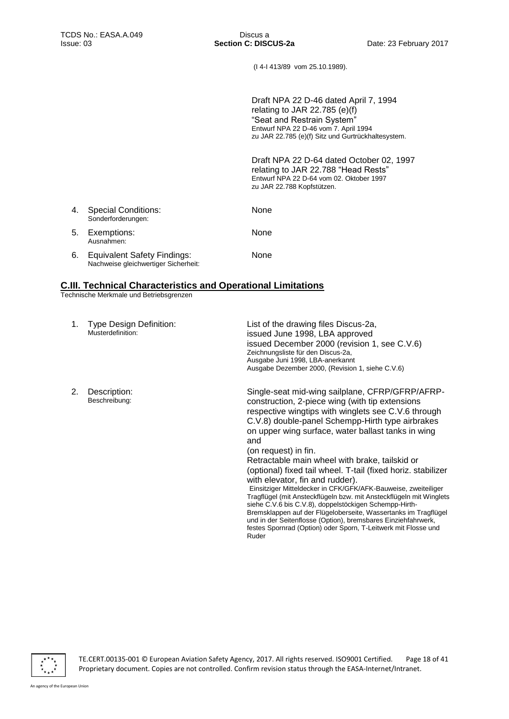(I 4-I 413/89 vom 25.10.1989).

Draft NPA 22 D-46 dated April 7, 1994 relating to JAR 22.785 (e)(f) "Seat and Restrain System" Entwurf NPA 22 D-46 vom 7. April 1994 zu JAR 22.785 (e)(f) Sitz und Gurtrückhaltesystem.

Draft NPA 22 D-64 dated October 02, 1997 relating to JAR 22.788 "Head Rests" Entwurf NPA 22 D-64 vom 02. Oktober 1997 zu JAR 22.788 Kopfstützen.

| 4. | <b>Special Conditions:</b><br>Sonderforderungen:                           | None        |
|----|----------------------------------------------------------------------------|-------------|
|    | 5. Exemptions:<br>Ausnahmen:                                               | <b>None</b> |
| 6. | <b>Equivalent Safety Findings:</b><br>Nachweise gleichwertiger Sicherheit: | None        |

## **C.III. Technical Characteristics and Operational Limitations**

Technische Merkmale und Betriebsgrenzen

| 1. | <b>Type Design Definition:</b><br>Musterdefinition: | List of the drawing files Discus-2a,<br>issued June 1998, LBA approved<br>issued December 2000 (revision 1, see C.V.6)<br>Zeichnungsliste für den Discus-2a,<br>Ausgabe Juni 1998, LBA-anerkannt<br>Ausgabe Dezember 2000, (Revision 1, siehe C.V.6)                                                                                                                                                                                                                                                                                                                                                                                                                                                                                                                                                                                                                      |
|----|-----------------------------------------------------|---------------------------------------------------------------------------------------------------------------------------------------------------------------------------------------------------------------------------------------------------------------------------------------------------------------------------------------------------------------------------------------------------------------------------------------------------------------------------------------------------------------------------------------------------------------------------------------------------------------------------------------------------------------------------------------------------------------------------------------------------------------------------------------------------------------------------------------------------------------------------|
| 2. | Description:<br>Beschreibung:                       | Single-seat mid-wing sailplane, CFRP/GFRP/AFRP-<br>construction, 2-piece wing (with tip extensions<br>respective wingtips with winglets see C.V.6 through<br>C.V.8) double-panel Schempp-Hirth type airbrakes<br>on upper wing surface, water ballast tanks in wing<br>and<br>(on request) in fin.<br>Retractable main wheel with brake, tailskid or<br>(optional) fixed tail wheel. T-tail (fixed horiz. stabilizer<br>with elevator, fin and rudder).<br>Einsitziger Mitteldecker in CFK/GFK/AFK-Bauweise, zweiteiliger<br>Tragflügel (mit Ansteckflügeln bzw. mit Ansteckflügeln mit Winglets<br>siehe C.V.6 bis C.V.8), doppelstöckigen Schempp-Hirth-<br>Bremsklappen auf der Flügeloberseite, Wassertanks im Tragflügel<br>und in der Seitenflosse (Option), bremsbares Einziehfahrwerk,<br>festes Spornrad (Option) oder Sporn, T-Leitwerk mit Flosse und<br>Ruder |

 $\overline{\cdots}$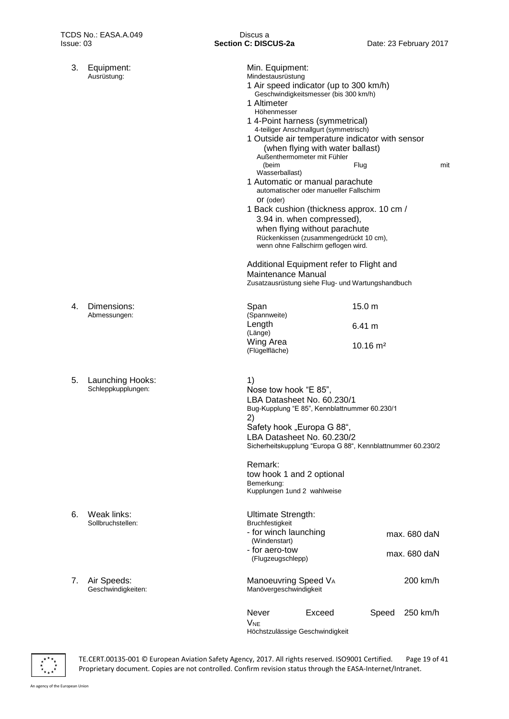| 3. | Equipment:<br>Ausrüstung:              | Min. Equipment:<br>Mindestausrüstung<br>1 Air speed indicator (up to 300 km/h)<br>Geschwindigkeitsmesser (bis 300 km/h)<br>1 Altimeter<br>Höhenmesser<br>1 4-Point harness (symmetrical)<br>4-teiliger Anschnallgurt (symmetrisch)<br>1 Outside air temperature indicator with sensor<br>(when flying with water ballast)<br>Außenthermometer mit Fühler<br>(beim<br>Wasserballast)<br>1 Automatic or manual parachute<br>automatischer oder manueller Fallschirm<br>Or (oder)<br>1 Back cushion (thickness approx. 10 cm /<br>3.94 in. when compressed),<br>when flying without parachute<br>Rückenkissen (zusammengedrückt 10 cm),<br>wenn ohne Fallschirm geflogen wird.<br>Additional Equipment refer to Flight and<br>Maintenance Manual<br>Zusatzausrüstung siehe Flug- und Wartungshandbuch | Flug                                    |       |                              | mit |
|----|----------------------------------------|----------------------------------------------------------------------------------------------------------------------------------------------------------------------------------------------------------------------------------------------------------------------------------------------------------------------------------------------------------------------------------------------------------------------------------------------------------------------------------------------------------------------------------------------------------------------------------------------------------------------------------------------------------------------------------------------------------------------------------------------------------------------------------------------------|-----------------------------------------|-------|------------------------------|-----|
| 4. | Dimensions:<br>Abmessungen:            | Span<br>(Spannweite)<br>Length<br>(Länge)<br>Wing Area<br>(Flügelfläche)                                                                                                                                                                                                                                                                                                                                                                                                                                                                                                                                                                                                                                                                                                                           | 15.0 m<br>6.41 m<br>$10.16 \text{ m}^2$ |       |                              |     |
| 5. | Launching Hooks:<br>Schleppkupplungen: | 1)<br>Nose tow hook "E 85",<br>LBA Datasheet No. 60.230/1<br>Bug-Kupplung "E 85", Kennblattnummer 60.230/1<br>2)<br>Safety hook "Europa G 88",<br>LBA Datasheet No. 60.230/2<br>Sicherheitskupplung "Europa G 88", Kennblattnummer 60.230/2<br>Remark:                                                                                                                                                                                                                                                                                                                                                                                                                                                                                                                                             |                                         |       |                              |     |
|    |                                        | tow hook 1 and 2 optional<br>Bemerkung:<br>Kupplungen 1und 2 wahlweise                                                                                                                                                                                                                                                                                                                                                                                                                                                                                                                                                                                                                                                                                                                             |                                         |       |                              |     |
| 6. | Weak links:<br>Sollbruchstellen:       | Ultimate Strength:<br>Bruchfestigkeit<br>- for winch launching<br>(Windenstart)<br>- for aero-tow<br>(Flugzeugschlepp)                                                                                                                                                                                                                                                                                                                                                                                                                                                                                                                                                                                                                                                                             |                                         |       | max. 680 daN<br>max. 680 daN |     |
| 7. | Air Speeds:<br>Geschwindigkeiten:      | Manoeuvring Speed VA<br>Manövergeschwindigkeit                                                                                                                                                                                                                                                                                                                                                                                                                                                                                                                                                                                                                                                                                                                                                     |                                         |       | 200 km/h                     |     |
|    |                                        | Never<br>Exceed<br><b>V<sub>NE</sub></b><br>Höchstzulässige Geschwindigkeit                                                                                                                                                                                                                                                                                                                                                                                                                                                                                                                                                                                                                                                                                                                        |                                         | Speed | 250 km/h                     |     |



- 6.  $\sqrt{5}$
- 7.  $\beta$ Geschwindigkeiten:

 $\frac{x}{x}$ 

TE.CERT.00135-001 © European Aviation Safety Agency, 2017. All rights reserved. ISO9001 Certified. Page 19 of 41 Proprietary document. Copies are not controlled. Confirm revision status through the EASA-Internet/Intranet.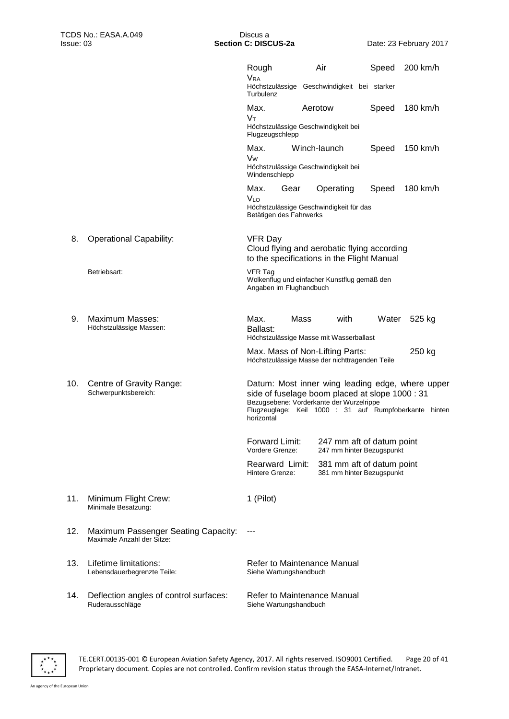|     |                                                                          | Rough<br><b>VRA</b><br>Höchstzulässige Geschwindigkeit bei starker<br>Turbulenz                                                                                                                                         | Air          |           | Speed                                                  | 200 km/h |  |
|-----|--------------------------------------------------------------------------|-------------------------------------------------------------------------------------------------------------------------------------------------------------------------------------------------------------------------|--------------|-----------|--------------------------------------------------------|----------|--|
|     |                                                                          | Max.<br>Vт<br>Höchstzulässige Geschwindigkeit bei                                                                                                                                                                       | Aerotow      |           | Speed                                                  | 180 km/h |  |
|     |                                                                          | Flugzeugschlepp<br>Max.<br>Vw<br>Höchstzulässige Geschwindigkeit bei<br>Windenschlepp                                                                                                                                   | Winch-launch |           | Speed                                                  | 150 km/h |  |
|     |                                                                          | Max.<br>Gear<br><b>VLO</b><br>Höchstzulässige Geschwindigkeit für das<br>Betätigen des Fahrwerks                                                                                                                        |              | Operating | Speed                                                  | 180 km/h |  |
| 8.  | <b>Operational Capability:</b>                                           | <b>VFR Day</b><br>Cloud flying and aerobatic flying according<br>to the specifications in the Flight Manual                                                                                                             |              |           |                                                        |          |  |
|     | Betriebsart:                                                             | <b>VFR Tag</b><br>Wolkenflug und einfacher Kunstflug gemäß den<br>Angaben im Flughandbuch                                                                                                                               |              |           |                                                        |          |  |
| 9.  | <b>Maximum Masses:</b><br>Höchstzulässige Massen:                        | Max.<br>Ballast:<br>Höchstzulässige Masse mit Wasserballast                                                                                                                                                             | Mass         | with      | Water                                                  | 525 kg   |  |
|     |                                                                          | Max. Mass of Non-Lifting Parts:<br>Höchstzulässige Masse der nichttragenden Teile                                                                                                                                       |              |           |                                                        | 250 kg   |  |
| 10. | Centre of Gravity Range:<br>Schwerpunktsbereich:                         | Datum: Most inner wing leading edge, where upper<br>side of fuselage boom placed at slope 1000 : 31<br>Bezugsebene: Vorderkante der Wurzelrippe<br>Flugzeuglage: Keil 1000 : 31 auf Rumpfoberkante hinten<br>horizontal |              |           |                                                        |          |  |
|     |                                                                          | Forward Limit:<br>Vordere Grenze:                                                                                                                                                                                       |              |           | 247 mm aft of datum point<br>247 mm hinter Bezugspunkt |          |  |
|     |                                                                          | Rearward Limit:<br>Hintere Grenze:                                                                                                                                                                                      |              |           | 381 mm aft of datum point<br>381 mm hinter Bezugspunkt |          |  |
| 11. | Minimum Flight Crew:<br>Minimale Besatzung:                              | 1 (Pilot)                                                                                                                                                                                                               |              |           |                                                        |          |  |
| 12. | <b>Maximum Passenger Seating Capacity:</b><br>Maximale Anzahl der Sitze: |                                                                                                                                                                                                                         |              |           |                                                        |          |  |
| 13. | Lifetime limitations:<br>Lebensdauerbegrenzte Teile:                     | Refer to Maintenance Manual<br>Siehe Wartungshandbuch                                                                                                                                                                   |              |           |                                                        |          |  |
| 14. | Deflection angles of control surfaces:<br>Ruderausschläge                | Refer to Maintenance Manual<br>Siehe Wartungshandbuch                                                                                                                                                                   |              |           |                                                        |          |  |



TE.CERT.00135-001 © European Aviation Safety Agency, 2017. All rights reserved. ISO9001 Certified. Page 20 of 41 Proprietary document. Copies are not controlled. Confirm revision status through the EASA-Internet/Intranet.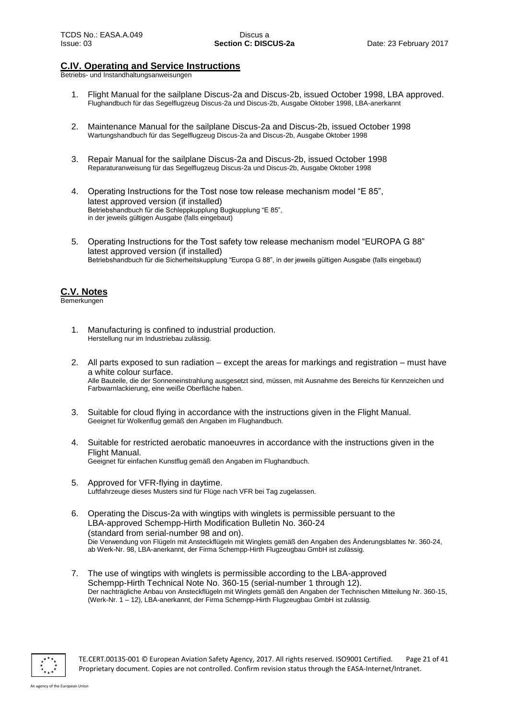## **C.IV. Operating and Service Instructions**

Betriebs- und Instandhaltungsanweisungen

- 1. Flight Manual for the sailplane Discus-2a and Discus-2b, issued October 1998, LBA approved. Flughandbuch für das Segelflugzeug Discus-2a und Discus-2b, Ausgabe Oktober 1998, LBA-anerkannt
- 2. Maintenance Manual for the sailplane Discus-2a and Discus-2b, issued October 1998 Wartungshandbuch für das Segelflugzeug Discus-2a and Discus-2b, Ausgabe Oktober 1998
- 3. Repair Manual for the sailplane Discus-2a and Discus-2b, issued October 1998 Reparaturanweisung für das Segelflugzeug Discus-2a und Discus-2b, Ausgabe Oktober 1998
- 4. Operating Instructions for the Tost nose tow release mechanism model "E 85", latest approved version (if installed) Betriebshandbuch für die Schleppkupplung Bugkupplung "E 85", in der jeweils gültigen Ausgabe (falls eingebaut)
- 5. Operating Instructions for the Tost safety tow release mechanism model "EUROPA G 88" latest approved version (if installed) Betriebshandbuch für die Sicherheitskupplung "Europa G 88", in der jeweils gültigen Ausgabe (falls eingebaut)

## **C.V. Notes**

Bemerkungen

- 1. Manufacturing is confined to industrial production. Herstellung nur im Industriebau zulässig.
- 2. All parts exposed to sun radiation except the areas for markings and registration must have a white colour surface. Alle Bauteile, die der Sonneneinstrahlung ausgesetzt sind, müssen, mit Ausnahme des Bereichs für Kennzeichen und Farbwarnlackierung, eine weiße Oberfläche haben.
- 3. Suitable for cloud flying in accordance with the instructions given in the Flight Manual. Geeignet für Wolkenflug gemäß den Angaben im Flughandbuch.
- 4. Suitable for restricted aerobatic manoeuvres in accordance with the instructions given in the Flight Manual. Geeignet für einfachen Kunstflug gemäß den Angaben im Flughandbuch.
- 5. Approved for VFR-flying in daytime. Luftfahrzeuge dieses Musters sind für Flüge nach VFR bei Tag zugelassen.
- 6. Operating the Discus-2a with wingtips with winglets is permissible persuant to the LBA-approved Schempp-Hirth Modification Bulletin No. 360-24 (standard from serial-number 98 and on). Die Verwendung von Flügeln mit Ansteckflügeln mit Winglets gemäß den Angaben des Änderungsblattes Nr. 360-24, ab Werk-Nr. 98, LBA-anerkannt, der Firma Schempp-Hirth Flugzeugbau GmbH ist zulässig.
- 7. The use of wingtips with winglets is permissible according to the LBA-approved Schempp-Hirth Technical Note No. 360-15 (serial-number 1 through 12). Der nachträgliche Anbau von Ansteckflügeln mit Winglets gemäß den Angaben der Technischen Mitteilung Nr. 360-15, (Werk-Nr. 1 – 12), LBA-anerkannt, der Firma Schempp-Hirth Flugzeugbau GmbH ist zulässig.



TE.CERT.00135-001 © European Aviation Safety Agency, 2017. All rights reserved. ISO9001 Certified. Page 21 of 41 Proprietary document. Copies are not controlled. Confirm revision status through the EASA-Internet/Intranet.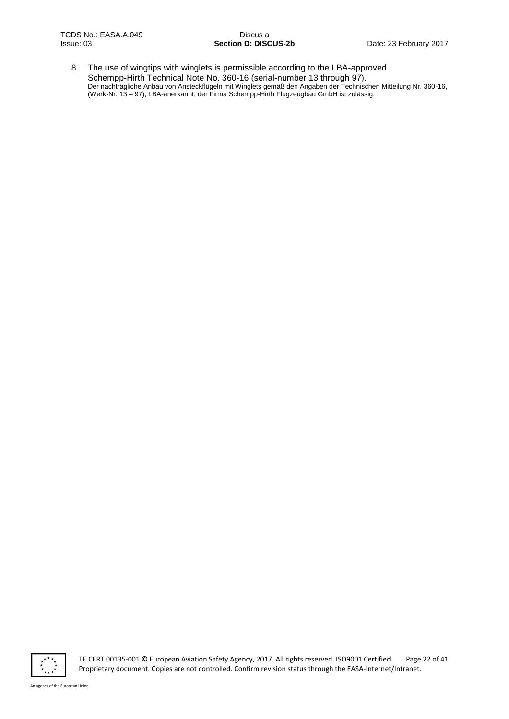8. The use of wingtips with winglets is permissible according to the LBA-approved Schempp-Hirth Technical Note No. 360-16 (serial-number 13 through 97). Der nachträgliche Anbau von Ansteckflügeln mit Winglets gemäß den Angaben der Technischen Mitteilung Nr. 360-16, (Werk-Nr. 13 – 97), LBA-anerkannt, der Firma Schempp-Hirth Flugzeugbau GmbH ist zulässig.



TE.CERT.00135-001 © European Aviation Safety Agency, 2017. All rights reserved. ISO9001 Certified. Page 22 of 41 Proprietary document. Copies are not controlled. Confirm revision status through the EASA-Internet/Intranet.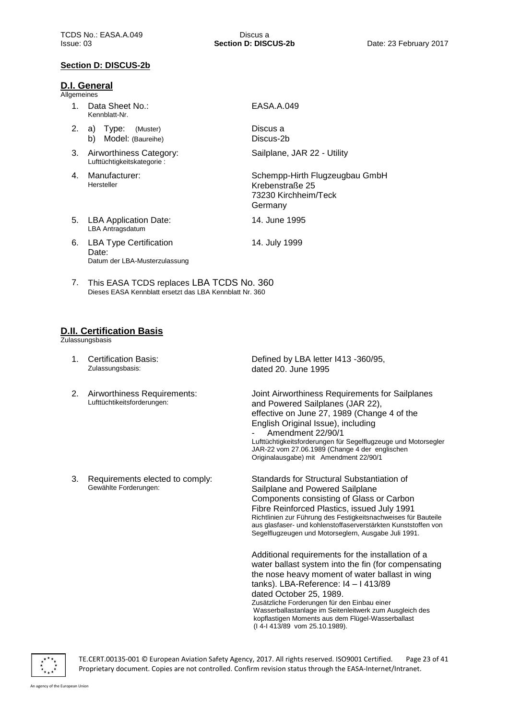#### **Section D: DISCUS-2b**

#### **D.I. General**

Allgemeines

- 1. Data Sheet No.: Kennblatt-Nr.
- 2. a) Type: (Muster) b) Model: (Baureihe)
- 3. Airworthiness Category: Lufttüchtigkeitskategorie :
- 4. Manufacturer: Hersteller
- 5. LBA Application Date: LBA Antragsdatum
- 
- 6. LBA Type Certification Date:

Datum der LBA-Musterzulassung

EASA.A.049

Discus a Discus-2b

Sailplane, JAR 22 - Utility

Schempp-Hirth Flugzeugbau GmbH Krebenstraße 25 73230 Kirchheim/Teck Germany

14. June 1995

- 14. July 1999
- 7. This EASA TCDS replaces LBA TCDS No. 360 Dieses EASA Kennblatt ersetzt das LBA Kennblatt Nr. 360

## **D.II. Certification Basis**

**Zulassungsbasis** 

- 1. Certification Basis: Zulassungsbasis:
- 2. Airworthiness Requirements: Lufttüchtikeitsforderungen:

3. Requirements elected to comply:

Gewählte Forderungen:

Joint Airworthiness Requirements for Sailplanes and Powered Sailplanes (JAR 22),

Defined by LBA letter I413 -360/95,

dated 20. June 1995

effective on June 27, 1989 (Change 4 of the English Original Issue), including Amendment 22/90/1 Lufttüchtigkeitsforderungen für Segelflugzeuge und Motorsegler JAR-22 vom 27.06.1989 (Change 4 der englischen Originalausgabe) mit Amendment 22/90/1

Standards for Structural Substantiation of Sailplane and Powered Sailplane Components consisting of Glass or Carbon Fibre Reinforced Plastics, issued July 1991 Richtlinien zur Führung des Festigkeitsnachweises für Bauteile aus glasfaser- und kohlenstoffaserverstärkten Kunststoffen von Segelflugzeugen und Motorseglern, Ausgabe Juli 1991.

Additional requirements for the installation of a water ballast system into the fin (for compensating the nose heavy moment of water ballast in wing tanks). LBA-Reference: I4 – I 413/89 dated October 25, 1989. Zusätzliche Forderungen für den Einbau einer Wasserballastanlage im Seitenleitwerk zum Ausgleich des kopflastigen Moments aus dem Flügel-Wasserballast (I 4-I 413/89 vom 25.10.1989).

TE.CERT.00135-001 © European Aviation Safety Agency, 2017. All rights reserved. ISO9001 Certified. Page 23 of 41 Proprietary document. Copies are not controlled. Confirm revision status through the EASA-Internet/Intranet.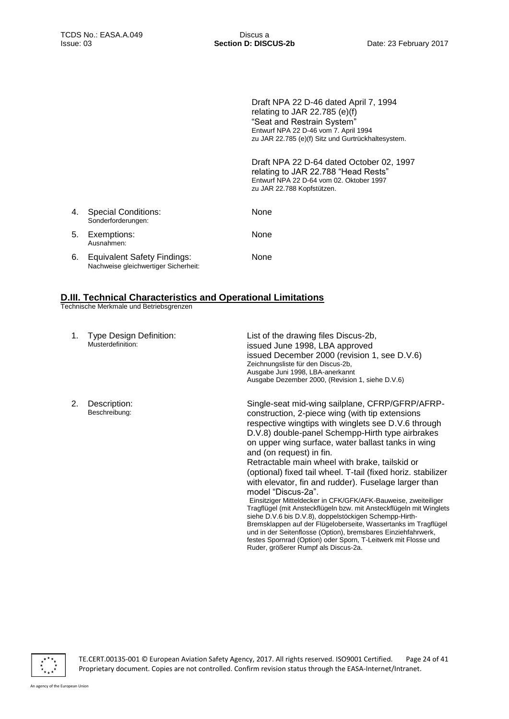Draft NPA 22 D-46 dated April 7, 1994 relating to JAR 22.785 (e)(f) "Seat and Restrain System" Entwurf NPA 22 D-46 vom 7. April 1994 zu JAR 22.785 (e)(f) Sitz und Gurtrückhaltesystem.

Draft NPA 22 D-64 dated October 02, 1997 relating to JAR 22.788 "Head Rests" Entwurf NPA 22 D-64 vom 02. Oktober 1997 zu JAR 22.788 Kopfstützen.

| 4. | <b>Special Conditions:</b><br>Sonderforderungen:                           | None |
|----|----------------------------------------------------------------------------|------|
|    | 5. Exemptions:<br>Ausnahmen:                                               | None |
| 6. | <b>Equivalent Safety Findings:</b><br>Nachweise gleichwertiger Sicherheit: | None |

## **D.III. Technical Characteristics and Operational Limitations**

Technische Merkmale und Betriebsgrenzen

| 1. | <b>Type Design Definition:</b><br>Musterdefinition: | List of the drawing files Discus-2b,<br>issued June 1998, LBA approved<br>issued December 2000 (revision 1, see D.V.6)<br>Zeichnungsliste für den Discus-2b,<br>Ausgabe Juni 1998, LBA-anerkannt<br>Ausgabe Dezember 2000, (Revision 1, siehe D.V.6)                                                                                                                                                                                                                                                                                                                                                                                                                                                                                                                                                                                                                                                                                             |
|----|-----------------------------------------------------|--------------------------------------------------------------------------------------------------------------------------------------------------------------------------------------------------------------------------------------------------------------------------------------------------------------------------------------------------------------------------------------------------------------------------------------------------------------------------------------------------------------------------------------------------------------------------------------------------------------------------------------------------------------------------------------------------------------------------------------------------------------------------------------------------------------------------------------------------------------------------------------------------------------------------------------------------|
| 2. | Description:<br>Beschreibung:                       | Single-seat mid-wing sailplane, CFRP/GFRP/AFRP-<br>construction, 2-piece wing (with tip extensions<br>respective wingtips with winglets see D.V.6 through<br>D.V.8) double-panel Schempp-Hirth type airbrakes<br>on upper wing surface, water ballast tanks in wing<br>and (on request) in fin.<br>Retractable main wheel with brake, tailskid or<br>(optional) fixed tail wheel. T-tail (fixed horiz. stabilizer<br>with elevator, fin and rudder). Fuselage larger than<br>model "Discus-2a".<br>Einsitziger Mitteldecker in CFK/GFK/AFK-Bauweise, zweiteiliger<br>Tragflügel (mit Ansteckflügeln bzw. mit Ansteckflügeln mit Winglets<br>siehe D.V.6 bis D.V.8), doppelstöckigen Schempp-Hirth-<br>Bremsklappen auf der Flügeloberseite, Wassertanks im Tragflügel<br>und in der Seitenflosse (Option), bremsbares Einziehfahrwerk,<br>festes Spornrad (Option) oder Sporn, T-Leitwerk mit Flosse und<br>Ruder, größerer Rumpf als Discus-2a. |

TE.CERT.00135-001 © European Aviation Safety Agency, 2017. All rights reserved. ISO9001 Certified. Page 24 of 41 Proprietary document. Copies are not controlled. Confirm revision status through the EASA-Internet/Intranet.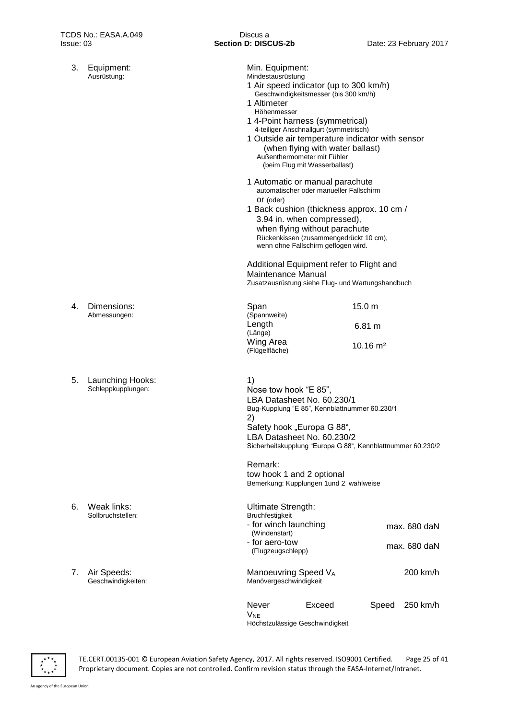3. Equipment: Ausrüstung:

| Min. Equipment:<br>Mindestausrüstung<br>1 Air speed indicator (up to 300 km/h)<br>1 Altimeter<br>Höhenmesser<br>1 4-Point harness (symmetrical)<br>1 Outside air temperature indicator with sensor<br>Außenthermometer mit Fühler           | Geschwindigkeitsmesser (bis 300 km/h)<br>4-teiliger Anschnallgurt (symmetrisch)<br>(when flying with water ballast)<br>(beim Flug mit Wasserballast)                                    |                     |                              |  |
|---------------------------------------------------------------------------------------------------------------------------------------------------------------------------------------------------------------------------------------------|-----------------------------------------------------------------------------------------------------------------------------------------------------------------------------------------|---------------------|------------------------------|--|
| 1 Automatic or manual parachute<br>Or (oder)<br>1 Back cushion (thickness approx. 10 cm /                                                                                                                                                   | automatischer oder manueller Fallschirm<br>3.94 in. when compressed),<br>when flying without parachute<br>Rückenkissen (zusammengedrückt 10 cm),<br>wenn ohne Fallschirm geflogen wird. |                     |                              |  |
| Additional Equipment refer to Flight and<br>Maintenance Manual<br>Zusatzausrüstung siehe Flug- und Wartungshandbuch                                                                                                                         |                                                                                                                                                                                         |                     |                              |  |
| Span                                                                                                                                                                                                                                        |                                                                                                                                                                                         | 15.0 m              |                              |  |
| (Spannweite)<br>Length<br>(Länge)                                                                                                                                                                                                           |                                                                                                                                                                                         | 6.81 m              |                              |  |
| Wing Area<br>(Flügelfläche)                                                                                                                                                                                                                 |                                                                                                                                                                                         | $10.16 \text{ m}^2$ |                              |  |
| 1)<br>Nose tow hook "E 85",<br>LBA Datasheet No. 60.230/1<br>Bug-Kupplung "E 85", Kennblattnummer 60.230/1<br>2)<br>Safety hook "Europa G 88",<br>LBA Datasheet No. 60.230/2<br>Sicherheitskupplung "Europa G 88", Kennblattnummer 60.230/2 |                                                                                                                                                                                         |                     |                              |  |
| Remark:<br>tow hook 1 and 2 optional<br>Bemerkung: Kupplungen 1 und 2 wahlweise                                                                                                                                                             |                                                                                                                                                                                         |                     |                              |  |
| <b>Ultimate Strength:</b><br>Bruchfestigkeit<br>- for winch launching<br>(Windenstart)<br>- for aero-tow<br>(Flugzeugschlepp)                                                                                                               |                                                                                                                                                                                         |                     | max. 680 daN<br>max. 680 daN |  |
| Manoeuvring Speed VA<br>Manövergeschwindigkeit                                                                                                                                                                                              |                                                                                                                                                                                         |                     | 200 km/h                     |  |
| Never<br><b>V<sub>NE</sub></b><br>Höchstzulässige Geschwindigkeit                                                                                                                                                                           | Exceed                                                                                                                                                                                  |                     | Speed 250 km/h               |  |

4. Dimensions: Abmessungen:

5. Launching Hooks: Schleppkupplungen:

- 6. Weak links: Sollbruchstellen:
- 7. Air Speeds: Geschwindigkeiten:

 $\frac{x^{**}x}{x^{**}x^{**}}$ 

TE.CERT.00135-001 © European Aviation Safety Agency, 2017. All rights reserved. ISO9001 Certified. Page 25 of 41 Proprietary document. Copies are not controlled. Confirm revision status through the EASA-Internet/Intranet.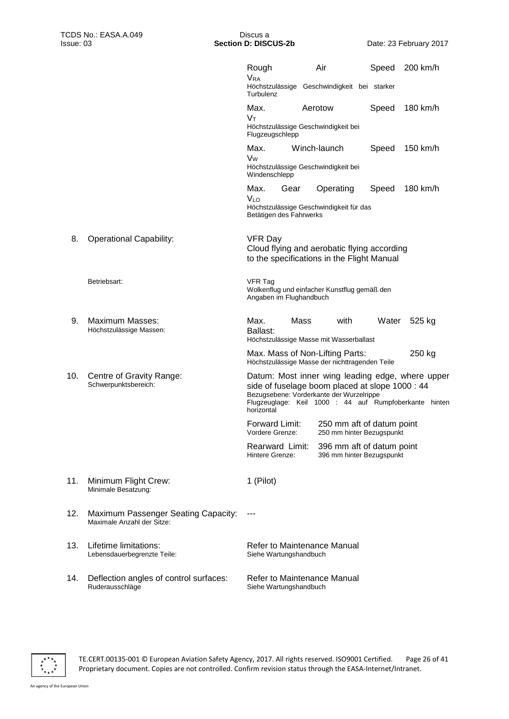|     |                                                                   | Rough<br><b>V<sub>RA</sub></b><br>Turbulenz   |      | Air<br>Höchstzulässige Geschwindigkeit bei starker                                                                                                                                                        | Speed | 200 km/h |  |
|-----|-------------------------------------------------------------------|-----------------------------------------------|------|-----------------------------------------------------------------------------------------------------------------------------------------------------------------------------------------------------------|-------|----------|--|
|     |                                                                   | Max.<br>Vт<br>Flugzeugschlepp                 |      | Aerotow<br>Höchstzulässige Geschwindigkeit bei                                                                                                                                                            | Speed | 180 km/h |  |
|     |                                                                   | Max.<br>Vw<br>Windenschlepp                   |      | Winch-launch<br>Höchstzulässige Geschwindigkeit bei                                                                                                                                                       | Speed | 150 km/h |  |
|     |                                                                   | Max.<br><b>VLO</b><br>Betätigen des Fahrwerks | Gear | Operating<br>Höchstzulässige Geschwindigkeit für das                                                                                                                                                      | Speed | 180 km/h |  |
| 8.  | <b>Operational Capability:</b>                                    | VFR Day                                       |      | Cloud flying and aerobatic flying according<br>to the specifications in the Flight Manual                                                                                                                 |       |          |  |
|     | Betriebsart:                                                      | <b>VFR Tag</b><br>Angaben im Flughandbuch     |      | Wolkenflug und einfacher Kunstflug gemäß den                                                                                                                                                              |       |          |  |
| 9.  | Maximum Masses:<br>Höchstzulässige Massen:                        | Max.<br>Ballast:                              | Mass | with<br>Höchstzulässige Masse mit Wasserballast                                                                                                                                                           | Water | 525 kg   |  |
|     |                                                                   |                                               |      | Max. Mass of Non-Lifting Parts:<br>Höchstzulässige Masse der nichttragenden Teile                                                                                                                         |       | 250 kg   |  |
| 10. | Centre of Gravity Range:<br>Schwerpunktsbereich:                  | horizontal                                    |      | Datum: Most inner wing leading edge, where upper<br>side of fuselage boom placed at slope 1000 : 44<br>Bezugsebene: Vorderkante der Wurzelrippe<br>Flugzeuglage: Keil 1000 : 44 auf Rumpfoberkante hinten |       |          |  |
|     |                                                                   | Forward Limit:<br>Vordere Grenze:             |      | 250 mm aft of datum point<br>250 mm hinter Bezugspunkt                                                                                                                                                    |       |          |  |
|     |                                                                   | Rearward Limit:<br>Hintere Grenze:            |      | 396 mm aft of datum point<br>396 mm hinter Bezugspunkt                                                                                                                                                    |       |          |  |
| 11. | Minimum Flight Crew:<br>Minimale Besatzung:                       | 1 (Pilot)                                     |      |                                                                                                                                                                                                           |       |          |  |
| 12. | Maximum Passenger Seating Capacity:<br>Maximale Anzahl der Sitze: |                                               |      |                                                                                                                                                                                                           |       |          |  |
| 13. | Lifetime limitations:<br>Lebensdauerbegrenzte Teile:              | Siehe Wartungshandbuch                        |      | Refer to Maintenance Manual                                                                                                                                                                               |       |          |  |
| 14. | Deflection angles of control surfaces:<br>Ruderausschläge         | Siehe Wartungshandbuch                        |      | Refer to Maintenance Manual                                                                                                                                                                               |       |          |  |

 $\frac{x}{x}$ 

TE.CERT.00135-001 © European Aviation Safety Agency, 2017. All rights reserved. ISO9001 Certified. Page 26 of 41 Proprietary document. Copies are not controlled. Confirm revision status through the EASA-Internet/Intranet.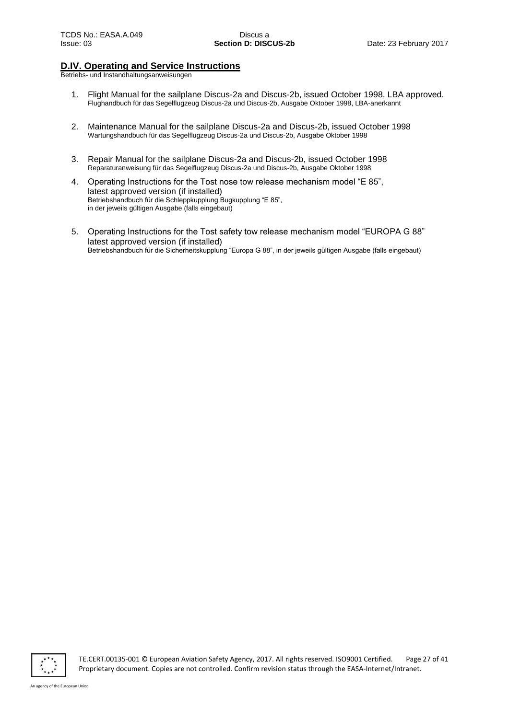## **D.IV. Operating and Service Instructions**

Betriebs- und Instandhaltungsanweisungen

- 1. Flight Manual for the sailplane Discus-2a and Discus-2b, issued October 1998, LBA approved. Flughandbuch für das Segelflugzeug Discus-2a und Discus-2b, Ausgabe Oktober 1998, LBA-anerkannt
- 2. Maintenance Manual for the sailplane Discus-2a and Discus-2b, issued October 1998 Wartungshandbuch für das Segelflugzeug Discus-2a und Discus-2b, Ausgabe Oktober 1998
- 3. Repair Manual for the sailplane Discus-2a and Discus-2b, issued October 1998 Reparaturanweisung für das Segelflugzeug Discus-2a und Discus-2b, Ausgabe Oktober 1998
- 4. Operating Instructions for the Tost nose tow release mechanism model "E 85", latest approved version (if installed) Betriebshandbuch für die Schleppkupplung Bugkupplung "E 85", in der jeweils gültigen Ausgabe (falls eingebaut)
- 5. Operating Instructions for the Tost safety tow release mechanism model "EUROPA G 88" latest approved version (if installed) Betriebshandbuch für die Sicherheitskupplung "Europa G 88", in der jeweils gültigen Ausgabe (falls eingebaut)



TE.CERT.00135-001 © European Aviation Safety Agency, 2017. All rights reserved. ISO9001 Certified. Page 27 of 41 Proprietary document. Copies are not controlled. Confirm revision status through the EASA-Internet/Intranet.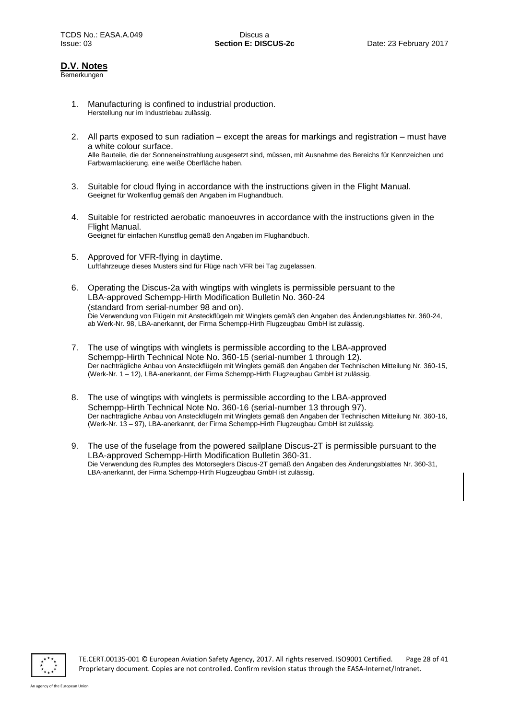## **D.V. Notes**

Bemerkungen

- 1. Manufacturing is confined to industrial production. Herstellung nur im Industriebau zulässig.
- 2. All parts exposed to sun radiation except the areas for markings and registration must have a white colour surface. Alle Bauteile, die der Sonneneinstrahlung ausgesetzt sind, müssen, mit Ausnahme des Bereichs für Kennzeichen und Farbwarnlackierung, eine weiße Oberfläche haben.
- 3. Suitable for cloud flying in accordance with the instructions given in the Flight Manual. Geeignet für Wolkenflug gemäß den Angaben im Flughandbuch.
- 4. Suitable for restricted aerobatic manoeuvres in accordance with the instructions given in the Flight Manual. Geeignet für einfachen Kunstflug gemäß den Angaben im Flughandbuch.
- 5. Approved for VFR-flying in daytime. Luftfahrzeuge dieses Musters sind für Flüge nach VFR bei Tag zugelassen.
- 6. Operating the Discus-2a with wingtips with winglets is permissible persuant to the LBA-approved Schempp-Hirth Modification Bulletin No. 360-24 (standard from serial-number 98 and on). Die Verwendung von Flügeln mit Ansteckflügeln mit Winglets gemäß den Angaben des Änderungsblattes Nr. 360-24, ab Werk-Nr. 98, LBA-anerkannt, der Firma Schempp-Hirth Flugzeugbau GmbH ist zulässig.
- 7. The use of wingtips with winglets is permissible according to the LBA-approved Schempp-Hirth Technical Note No. 360-15 (serial-number 1 through 12). Der nachträgliche Anbau von Ansteckflügeln mit Winglets gemäß den Angaben der Technischen Mitteilung Nr. 360-15, (Werk-Nr. 1 – 12), LBA-anerkannt, der Firma Schempp-Hirth Flugzeugbau GmbH ist zulässig.
- 8. The use of wingtips with winglets is permissible according to the LBA-approved Schempp-Hirth Technical Note No. 360-16 (serial-number 13 through 97). Der nachträgliche Anbau von Ansteckflügeln mit Winglets gemäß den Angaben der Technischen Mitteilung Nr. 360-16, (Werk-Nr. 13 – 97), LBA-anerkannt, der Firma Schempp-Hirth Flugzeugbau GmbH ist zulässig.
- 9. The use of the fuselage from the powered sailplane Discus-2T is permissible pursuant to the LBA-approved Schempp-Hirth Modification Bulletin 360-31. Die Verwendung des Rumpfes des Motorseglers Discus-2T gemäß den Angaben des Änderungsblattes Nr. 360-31, LBA-anerkannt, der Firma Schempp-Hirth Flugzeugbau GmbH ist zulässig.



TE.CERT.00135-001 © European Aviation Safety Agency, 2017. All rights reserved. ISO9001 Certified. Page 28 of 41 Proprietary document. Copies are not controlled. Confirm revision status through the EASA-Internet/Intranet.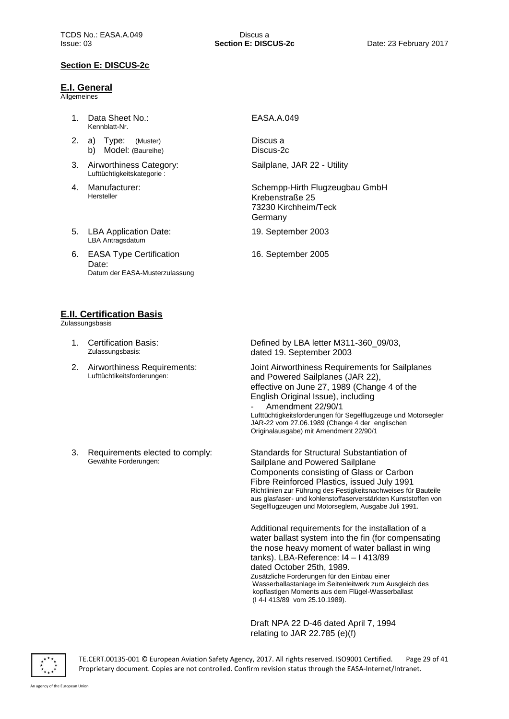## **Section E: DISCUS-2c**

#### **E.I. General**

**Allgemeines** 

- 1. Data Sheet No.: Kennblatt-Nr.
- 2. a) Type: (Muster) b) Model: (Baureihe)
- 3. Airworthiness Category: Lufttüchtigkeitskategorie :
- 4. Manufacturer: Hersteller
- 5. LBA Application Date: LBA Antragsdatum
- 6. EASA Type Certification Date: Datum der EASA-Musterzulassung

## EASA.A.049

Discus a Discus-2c

Sailplane, JAR 22 - Utility

Schempp-Hirth Flugzeugbau GmbH Krebenstraße 25 73230 Kirchheim/Teck Germany

19. September 2003

16. September 2005

## **E.II. Certification Basis**

**Zulassungsbasis** 

- 1. Certification Basis: Zulassungsbasis:
- 2. Airworthiness Requirements: Lufttüchtikeitsforderungen:
- 3. Requirements elected to comply: Gewählte Forderungen:

Defined by LBA letter M311-360\_09/03, dated 19. September 2003

Joint Airworthiness Requirements for Sailplanes and Powered Sailplanes (JAR 22), effective on June 27, 1989 (Change 4 of the English Original Issue), including Amendment 22/90/1 Lufttüchtigkeitsforderungen für Segelflugzeuge und Motorsegler JAR-22 vom 27.06.1989 (Change 4 der englischen Originalausgabe) mit Amendment 22/90/1

Standards for Structural Substantiation of Sailplane and Powered Sailplane Components consisting of Glass or Carbon Fibre Reinforced Plastics, issued July 1991 Richtlinien zur Führung des Festigkeitsnachweises für Bauteile aus glasfaser- und kohlenstoffaserverstärkten Kunststoffen von Segelflugzeugen und Motorseglern, Ausgabe Juli 1991.

Additional requirements for the installation of a water ballast system into the fin (for compensating the nose heavy moment of water ballast in wing tanks). LBA-Reference: I4 – I 413/89 dated October 25th, 1989. Zusätzliche Forderungen für den Einbau einer Wasserballastanlage im Seitenleitwerk zum Ausgleich des kopflastigen Moments aus dem Flügel-Wasserballast (I 4-I 413/89 vom 25.10.1989).

Draft NPA 22 D-46 dated April 7, 1994 relating to JAR 22.785 (e)(f)



TE.CERT.00135-001 © European Aviation Safety Agency, 2017. All rights reserved. ISO9001 Certified. Page 29 of 41 Proprietary document. Copies are not controlled. Confirm revision status through the EASA-Internet/Intranet.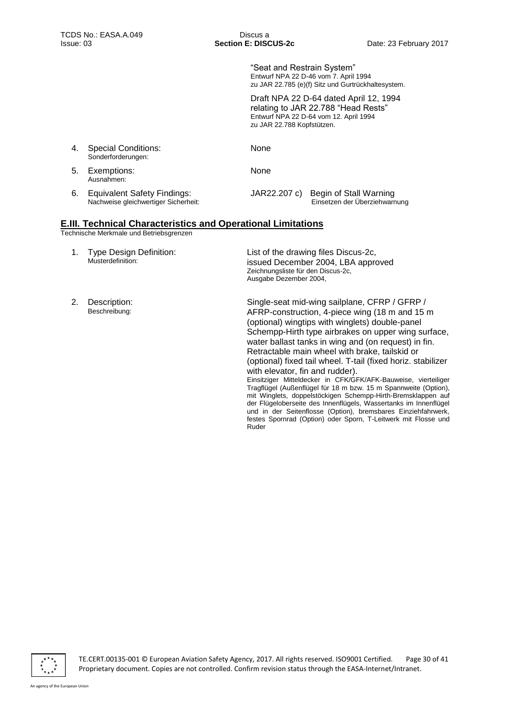"Seat and Restrain System" Entwurf NPA 22 D-46 vom 7. April 1994 zu JAR 22.785 (e)(f) Sitz und Gurtrückhaltesystem.

Draft NPA 22 D-64 dated April 12, 1994 relating to JAR 22.788 "Head Rests" Entwurf NPA 22 D-64 vom 12. April 1994 zu JAR 22.788 Kopfstützen.

| 4. | <b>Special Conditions:</b><br>Sonderforderungen:                    | None        |                                                                      |
|----|---------------------------------------------------------------------|-------------|----------------------------------------------------------------------|
| 5. | Exemptions:<br>Ausnahmen:                                           | <b>None</b> |                                                                      |
| 6. | Equivalent Safety Findings:<br>Nachweise gleichwertiger Sicherheit: |             | JAR22.207 c) Begin of Stall Warning<br>Einsetzen der Überziehwarnung |

## **E.III. Technical Characteristics and Operational Limitations**

Technische Merkmale und Betriebsgrenzen

1. Type Design Definition: Musterdefinition:

List of the drawing files Discus-2c, issued December 2004, LBA approved Zeichnungsliste für den Discus-2c, Ausgabe Dezember 2004,

2. Description: Beschreibung:

Single-seat mid-wing sailplane, CFRP / GFRP / AFRP-construction, 4-piece wing (18 m and 15 m (optional) wingtips with winglets) double-panel Schempp-Hirth type airbrakes on upper wing surface, water ballast tanks in wing and (on request) in fin. Retractable main wheel with brake, tailskid or (optional) fixed tail wheel. T-tail (fixed horiz. stabilizer with elevator, fin and rudder).

Einsitziger Mitteldecker in CFK/GFK/AFK-Bauweise, vierteiliger Tragflügel (Außenflügel für 18 m bzw. 15 m Spannweite (Option), mit Winglets, doppelstöckigen Schempp-Hirth-Bremsklappen auf der Flügeloberseite des Innenflügels, Wassertanks im Innenflügel und in der Seitenflosse (Option), bremsbares Einziehfahrwerk, festes Spornrad (Option) oder Sporn, T-Leitwerk mit Flosse und Ruder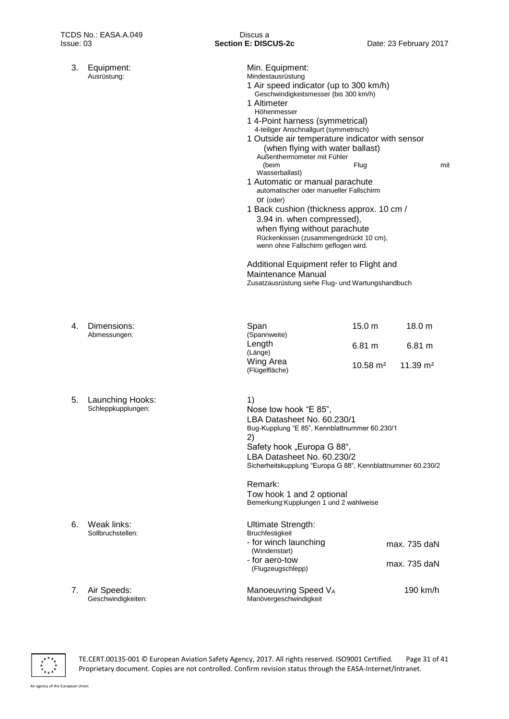| 3. | Equipment:<br>Ausrüstung:              | Min. Equipment:<br>Mindestausrüstung<br>1 Air speed indicator (up to 300 km/h)<br>Geschwindigkeitsmesser (bis 300 km/h)<br>1 Altimeter<br>Höhenmesser<br>1 4-Point harness (symmetrical)<br>4-teiliger Anschnallgurt (symmetrisch)<br>1 Outside air temperature indicator with sensor<br>(when flying with water ballast)<br>Außenthermometer mit Fühler<br>(beim<br>Wasserballast)<br>1 Automatic or manual parachute<br>automatischer oder manueller Fallschirm<br>Or (oder)<br>1 Back cushion (thickness approx. 10 cm /<br>3.94 in. when compressed),<br>when flying without parachute<br>Rückenkissen (zusammengedrückt 10 cm),<br>wenn ohne Fallschirm geflogen wird.<br>Additional Equipment refer to Flight and<br>Maintenance Manual<br>Zusatzausrüstung siehe Flug- und Wartungshandbuch | Flug                                               |                                                    | mit |
|----|----------------------------------------|----------------------------------------------------------------------------------------------------------------------------------------------------------------------------------------------------------------------------------------------------------------------------------------------------------------------------------------------------------------------------------------------------------------------------------------------------------------------------------------------------------------------------------------------------------------------------------------------------------------------------------------------------------------------------------------------------------------------------------------------------------------------------------------------------|----------------------------------------------------|----------------------------------------------------|-----|
| 4. | Dimensions:<br>Abmessungen:            | Span<br>(Spannweite)<br>Length<br>(Länge)<br>Wing Area<br>(Flügelfläche)                                                                                                                                                                                                                                                                                                                                                                                                                                                                                                                                                                                                                                                                                                                           | 15.0 <sub>m</sub><br>6.81 m<br>$10.58 \text{ m}^2$ | 18.0 <sub>m</sub><br>6.81 m<br>$11.39 \text{ m}^2$ |     |
| 5. | Launching Hooks:<br>Schleppkupplungen: | 1)<br>Nose tow hook "E 85",<br>LBA Datasheet No. 60.230/1<br>Bug-Kupplung "E 85", Kennblattnummer 60.230/1<br>2)<br>Safety hook "Europa G 88",<br>LBA Datasheet No. 60.230/2<br>Sicherheitskupplung "Europa G 88", Kennblattnummer 60.230/2<br>Remark:<br>Tow hook 1 and 2 optional                                                                                                                                                                                                                                                                                                                                                                                                                                                                                                                |                                                    |                                                    |     |
| 6. | Weak links:<br>Sollbruchstellen:       | Bemerkung: Kupplungen 1 und 2 wahlweise<br><b>Ultimate Strength:</b><br>Bruchfestigkeit<br>- for winch launching<br>(Windenstart)<br>- for aero-tow<br>(Flugzeugschlepp)                                                                                                                                                                                                                                                                                                                                                                                                                                                                                                                                                                                                                           |                                                    | max. 735 daN<br>max. 735 daN                       |     |
| 7. | Air Speeds:<br>Geschwindigkeiten:      | Manoeuvring Speed VA<br>Manövergeschwindigkeit                                                                                                                                                                                                                                                                                                                                                                                                                                                                                                                                                                                                                                                                                                                                                     |                                                    | 190 km/h                                           |     |

 $\frac{x}{x}$ 

TE.CERT.00135-001 © European Aviation Safety Agency, 2017. All rights reserved. ISO9001 Certified. Page 31 of 41 Proprietary document. Copies are not controlled. Confirm revision status through the EASA-Internet/Intranet.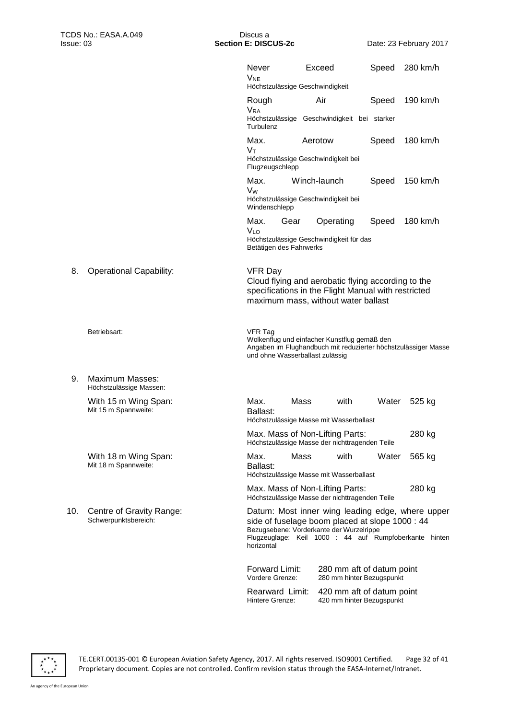|     |                                                  | <b>Never</b><br><b>V<sub>NE</sub></b>             | Exceed<br>Höchstzulässige Geschwindigkeit                                                                                                                                                                 | Speed | 280 km/h |
|-----|--------------------------------------------------|---------------------------------------------------|-----------------------------------------------------------------------------------------------------------------------------------------------------------------------------------------------------------|-------|----------|
|     |                                                  | Rough<br><b>VRA</b>                               | Air                                                                                                                                                                                                       | Speed | 190 km/h |
|     |                                                  | Turbulenz                                         | Höchstzulässige Geschwindigkeit bei starker                                                                                                                                                               |       |          |
|     |                                                  | Max.<br>$V_{\text{T}}$                            | Aerotow                                                                                                                                                                                                   | Speed | 180 km/h |
|     |                                                  | Flugzeugschlepp                                   | Höchstzulässige Geschwindigkeit bei                                                                                                                                                                       |       |          |
|     |                                                  | Max.<br>Vw<br>Windenschlepp                       | Winch-launch<br>Höchstzulässige Geschwindigkeit bei                                                                                                                                                       | Speed | 150 km/h |
|     |                                                  | Max.<br>Gear<br>V <sub>LO</sub>                   | Operating                                                                                                                                                                                                 | Speed | 180 km/h |
|     |                                                  | Betätigen des Fahrwerks                           | Höchstzulässige Geschwindigkeit für das                                                                                                                                                                   |       |          |
| 8.  | <b>Operational Capability:</b>                   | <b>VFR Day</b>                                    | Cloud flying and aerobatic flying according to the<br>specifications in the Flight Manual with restricted<br>maximum mass, without water ballast                                                          |       |          |
|     | Betriebsart:                                     | <b>VFR Tag</b><br>und ohne Wasserballast zulässig | Wolkenflug und einfacher Kunstflug gemäß den<br>Angaben im Flughandbuch mit reduzierter höchstzulässiger Masse                                                                                            |       |          |
| 9.  | Maximum Masses:<br>Höchstzulässige Massen:       |                                                   |                                                                                                                                                                                                           |       |          |
|     | With 15 m Wing Span:<br>Mit 15 m Spannweite:     | Max.<br>Ballast:                                  | Mass<br>with<br>Höchstzulässige Masse mit Wasserballast                                                                                                                                                   | Water | 525 kg   |
|     |                                                  |                                                   | Max. Mass of Non-Lifting Parts:<br>Höchstzulässige Masse der nichttragenden Teile                                                                                                                         |       | 280 kg   |
|     | With 18 m Wing Span:<br>Mit 18 m Spannweite:     | Max.<br>Ballast:                                  | Mass<br>with<br>Höchstzulässige Masse mit Wasserballast                                                                                                                                                   | Water | 565 kg   |
|     |                                                  |                                                   | Max. Mass of Non-Lifting Parts:<br>Höchstzulässige Masse der nichttragenden Teile                                                                                                                         |       | 280 kg   |
| 10. | Centre of Gravity Range:<br>Schwerpunktsbereich: | horizontal                                        | Datum: Most inner wing leading edge, where upper<br>side of fuselage boom placed at slope 1000 : 44<br>Bezugsebene: Vorderkante der Wurzelrippe<br>Flugzeuglage: Keil 1000 : 44 auf Rumpfoberkante hinten |       |          |
|     |                                                  | <b>Forward Limit:</b><br>Vordere Grenze:          | 280 mm aft of datum point<br>280 mm hinter Bezugspunkt                                                                                                                                                    |       |          |
|     |                                                  | Rearward Limit:<br>Hintere Grenze:                | 420 mm aft of datum point<br>420 mm hinter Bezugspunkt                                                                                                                                                    |       |          |
|     |                                                  |                                                   |                                                                                                                                                                                                           |       |          |

 $\frac{x}{x}$ 

TE.CERT.00135-001 © European Aviation Safety Agency, 2017. All rights reserved. ISO9001 Certified. Page 32 of 41 Proprietary document. Copies are not controlled. Confirm revision status through the EASA-Internet/Intranet.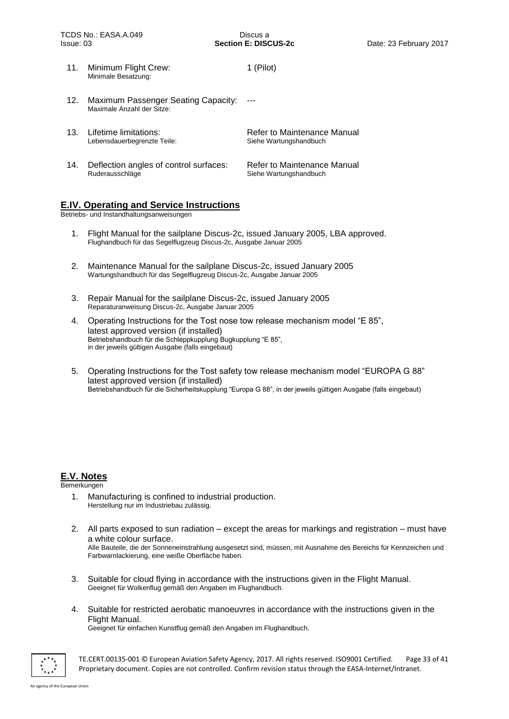11. Minimum Flight Crew: Minimale Besatzung: 1 (Pilot) 12. Maximum Passenger Seating Capacity: Maximale Anzahl der Sitze: --- 13. Lifetime limitations: Lebensdauerbegrenzte Teile: Refer to Maintenance Manual Siehe Wartungshandbuch 14. Deflection angles of control surfaces: Ruderausschläge Refer to Maintenance Manual Siehe Wartungshandbuch

## **E.IV. Operating and Service Instructions**

Betriebs- und Instandhaltungsanweisungen

- 1. Flight Manual for the sailplane Discus-2c, issued January 2005, LBA approved. Flughandbuch für das Segelflugzeug Discus-2c, Ausgabe Januar 2005
- 2. Maintenance Manual for the sailplane Discus-2c, issued January 2005 Wartungshandbuch für das Segelflugzeug Discus-2c, Ausgabe Januar 2005
- 3. Repair Manual for the sailplane Discus-2c, issued January 2005 Reparaturanweisung Discus-2c, Ausgabe Januar 2005
- 4. Operating Instructions for the Tost nose tow release mechanism model "E 85", latest approved version (if installed) Betriebshandbuch für die Schleppkupplung Bugkupplung "E 85", in der jeweils gültigen Ausgabe (falls eingebaut)
- 5. Operating Instructions for the Tost safety tow release mechanism model "EUROPA G 88" latest approved version (if installed) Betriebshandbuch für die Sicherheitskupplung "Europa G 88", in der jeweils gültigen Ausgabe (falls eingebaut)

## **E.V. Notes**

Bemerkungen

- 1. Manufacturing is confined to industrial production. Herstellung nur im Industriebau zulässig.
- 2. All parts exposed to sun radiation except the areas for markings and registration must have a white colour surface. Alle Bauteile, die der Sonneneinstrahlung ausgesetzt sind, müssen, mit Ausnahme des Bereichs für Kennzeichen und Farbwarnlackierung, eine weiße Oberfläche haben.
- 3. Suitable for cloud flying in accordance with the instructions given in the Flight Manual. Geeignet für Wolkenflug gemäß den Angaben im Flughandbuch.
- 4. Suitable for restricted aerobatic manoeuvres in accordance with the instructions given in the Flight Manual.

Geeignet für einfachen Kunstflug gemäß den Angaben im Flughandbuch.



TE.CERT.00135-001 © European Aviation Safety Agency, 2017. All rights reserved. ISO9001 Certified. Page 33 of 41 Proprietary document. Copies are not controlled. Confirm revision status through the EASA-Internet/Intranet.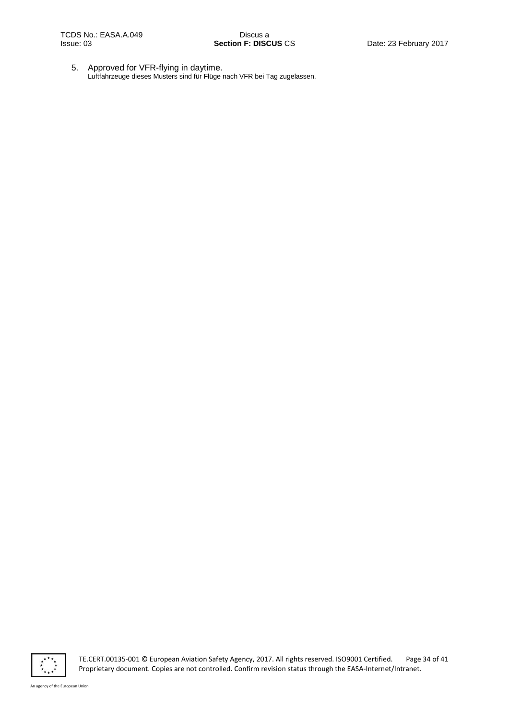5. Approved for VFR-flying in daytime. Luftfahrzeuge dieses Musters sind für Flüge nach VFR bei Tag zugelassen.



TE.CERT.00135-001 © European Aviation Safety Agency, 2017. All rights reserved. ISO9001 Certified. Page 34 of 41 Proprietary document. Copies are not controlled. Confirm revision status through the EASA-Internet/Intranet.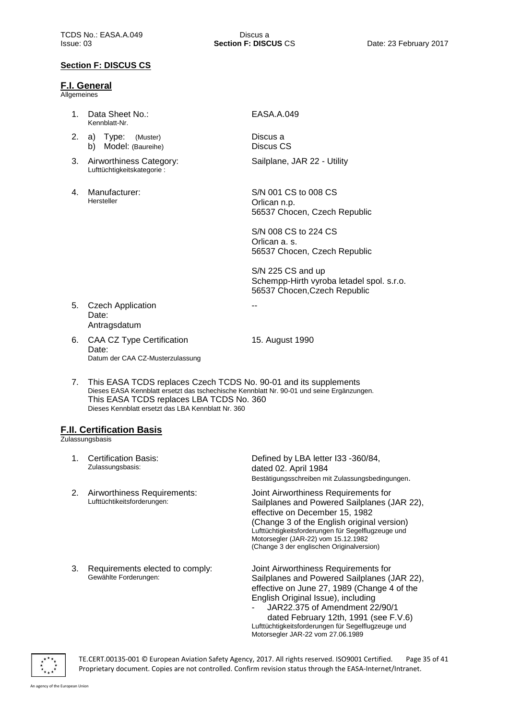## **F.I. General**

**Allgemeines** 

- 1. Data Sheet No.: Kennblatt-Nr.
- 2. a) Type: (Muster) b) Model: (Baureihe)
- 3. Airworthiness Category: Lufttüchtigkeitskategorie :
- 4. Manufacturer: Hersteller

#### EASA.A.049

Discus a Discus CS Sailplane, JAR 22 - Utility

S/N 001 CS to 008 CS Orlican n.p. 56537 Chocen, Czech Republic

S/N 008 CS to 224 CS Orlican a. s. 56537 Chocen, Czech Republic

S/N 225 CS and up Schempp-Hirth vyroba letadel spol. s.r.o. 56537 Chocen,Czech Republic

- 5. Czech Application Date: Antragsdatum
- 6. CAA CZ Type Certification Date: Datum der CAA CZ-Musterzulassung

15. August 1990

--

7. This EASA TCDS replaces Czech TCDS No. 90-01 and its supplements Dieses EASA Kennblatt ersetzt das tschechische Kennblatt Nr. 90-01 und seine Ergänzungen. This EASA TCDS replaces LBA TCDS No. 360 Dieses Kennblatt ersetzt das LBA Kennblatt Nr. 360

## **F.II. Certification Basis**

**Zulassungsbasis** 

1. Certification Basis: Zulassungsbasis: Defined by LBA letter I33 -360/84, dated 02. April 1984 Bestätigungsschreiben mit Zulassungsbedingungen. 2. Airworthiness Requirements: Lufttüchtikeitsforderungen: Joint Airworthiness Requirements for Sailplanes and Powered Sailplanes (JAR 22), effective on December 15, 1982 (Change 3 of the English original version) Lufttüchtigkeitsforderungen für Segelflugzeuge und Motorsegler (JAR-22) vom 15.12.1982 (Change 3 der englischen Originalversion) 3. Requirements elected to comply: Gewählte Forderungen: Joint Airworthiness Requirements for Sailplanes and Powered Sailplanes (JAR 22), effective on June 27, 1989 (Change 4 of the English Original Issue), including - JAR22.375 of Amendment 22/90/1 dated February 12th, 1991 (see F.V.6) Lufttüchtigkeitsforderungen für Segelflugzeuge und Motorsegler JAR-22 vom 27.06.1989



TE.CERT.00135-001 © European Aviation Safety Agency, 2017. All rights reserved. ISO9001 Certified. Page 35 of 41 Proprietary document. Copies are not controlled. Confirm revision status through the EASA-Internet/Intranet.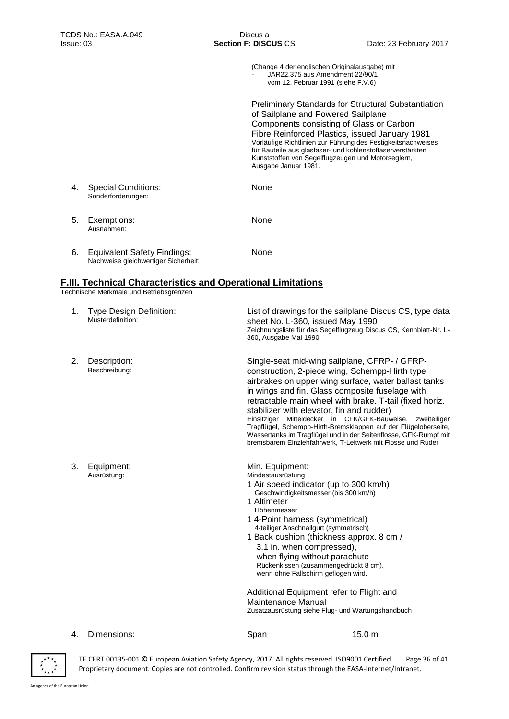(Change 4 der englischen Originalausgabe) mit - JAR22.375 aus Amendment 22/90/1 vom 12. Februar 1991 (siehe F.V.6)

Preliminary Standards for Structural Substantiation of Sailplane and Powered Sailplane Components consisting of Glass or Carbon Fibre Reinforced Plastics, issued January 1981 Vorläufige Richtlinien zur Führung des Festigkeitsnachweises für Bauteile aus glasfaser- und kohlenstoffaserverstärkten Kunststoffen von Segelflugzeugen und Motorseglern, Ausgabe Januar 1981.

4. Special Conditions: Sonderforderungen: None 5. Exemptions: Ausnahmen: None 6. Equivalent Safety Findings: Nachweise gleichwertiger Sicherheit: None

## **F.III. Technical Characteristics and Operational Limitations**

Technische Merkmale und Betriebsgrenzen

| 1. | <b>Type Design Definition:</b><br>Musterdefinition: | sheet No. L-360, issued May 1990<br>360, Ausgabe Mai 1990                                                                                                                                                                                                                                                                                                                                                                                                                                                                                           | List of drawings for the sailplane Discus CS, type data<br>Zeichnungsliste für das Segelflugzeug Discus CS, Kennblatt-Nr. L-                        |
|----|-----------------------------------------------------|-----------------------------------------------------------------------------------------------------------------------------------------------------------------------------------------------------------------------------------------------------------------------------------------------------------------------------------------------------------------------------------------------------------------------------------------------------------------------------------------------------------------------------------------------------|-----------------------------------------------------------------------------------------------------------------------------------------------------|
| 2. | Description:<br>Beschreibung:                       | Single-seat mid-wing sailplane, CFRP- / GFRP-<br>construction, 2-piece wing, Schempp-Hirth type<br>airbrakes on upper wing surface, water ballast tanks<br>in wings and fin. Glass composite fuselage with<br>retractable main wheel with brake. T-tail (fixed horiz.<br>stabilizer with elevator, fin and rudder)<br>Einsitziger Mitteldecker in CFK/GFK-Bauweise,<br>bremsbarem Einziehfahrwerk, T-Leitwerk mit Flosse und Ruder                                                                                                                  | zweiteiliger<br>Tragflügel, Schempp-Hirth-Bremsklappen auf der Flügeloberseite,<br>Wassertanks im Tragflügel und in der Seitenflosse, GFK-Rumpf mit |
| 3. | Equipment:<br>Ausrüstung:                           | Min. Equipment:<br>Mindestausrüstung<br>1 Air speed indicator (up to 300 km/h)<br>Geschwindigkeitsmesser (bis 300 km/h)<br>1 Altimeter<br>Höhenmesser<br>1 4-Point harness (symmetrical)<br>4-teiliger Anschnallgurt (symmetrisch)<br>1 Back cushion (thickness approx. 8 cm /<br>3.1 in. when compressed),<br>when flying without parachute<br>Rückenkissen (zusammengedrückt 8 cm),<br>wenn ohne Fallschirm geflogen wird.<br>Additional Equipment refer to Flight and<br>Maintenance Manual<br>Zusatzausrüstung siehe Flug- und Wartungshandbuch |                                                                                                                                                     |
| 4. | Dimensions:                                         | Span                                                                                                                                                                                                                                                                                                                                                                                                                                                                                                                                                | 15.0 <sub>m</sub>                                                                                                                                   |



TE.CERT.00135-001 © European Aviation Safety Agency, 2017. All rights reserved. ISO9001 Certified. Page 36 of 41 Proprietary document. Copies are not controlled. Confirm revision status through the EASA-Internet/Intranet.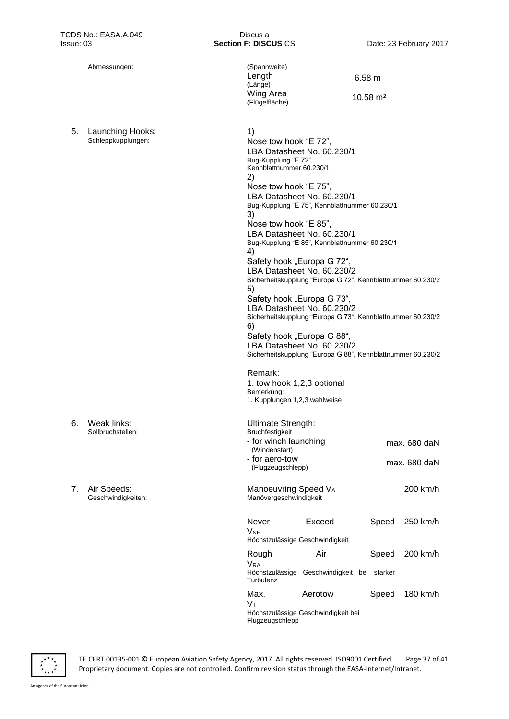1)

2)

Abmessungen: (Spannweite) Length (Länge) Wing Area (Flügelfläche)

> Nose tow hook "E 72", LBA Datasheet No. 60.230/1

Nose tow hook "E 75",

Bug-Kupplung "E 72", Kennblattnummer 60.230/1 6.58 m

10.58 m²

5. Launching Hooks: Schleppkupplungen:

| 6. | Weak links:       |
|----|-------------------|
|    | Sollbruchstellen: |

7. Air Speeds: Geschwindigkeiten:

| LBA Datasheet No. 60.230/1<br>Bug-Kupplung "E 75", Kennblattnummer 60.230/1 |                                                                                           |       |                |  |
|-----------------------------------------------------------------------------|-------------------------------------------------------------------------------------------|-------|----------------|--|
| 3)                                                                          |                                                                                           |       |                |  |
| Nose tow hook "E 85",                                                       |                                                                                           |       |                |  |
|                                                                             | LBA Datasheet No. 60.230/1<br>Bug-Kupplung "E 85", Kennblattnummer 60.230/1               |       |                |  |
| 4)                                                                          |                                                                                           |       |                |  |
| Safety hook "Europa G 72",                                                  |                                                                                           |       |                |  |
|                                                                             | LBA Datasheet No. 60.230/2<br>Sicherheitskupplung "Europa G 72", Kennblattnummer 60.230/2 |       |                |  |
| 5)                                                                          |                                                                                           |       |                |  |
| Safety hook "Europa G 73",                                                  |                                                                                           |       |                |  |
| LBA Datasheet No. 60.230/2                                                  |                                                                                           |       |                |  |
| Sicherheitskupplung "Europa G 73", Kennblattnummer 60.230/2<br>6)           |                                                                                           |       |                |  |
| Safety hook "Europa G 88",                                                  |                                                                                           |       |                |  |
|                                                                             | LBA Datasheet No. 60.230/2                                                                |       |                |  |
|                                                                             | Sicherheitskupplung "Europa G 88", Kennblattnummer 60.230/2                               |       |                |  |
|                                                                             |                                                                                           |       |                |  |
| Remark:                                                                     |                                                                                           |       |                |  |
| 1. tow hook 1,2,3 optional<br>Bemerkung:                                    |                                                                                           |       |                |  |
| 1. Kupplungen 1,2,3 wahlweise                                               |                                                                                           |       |                |  |
|                                                                             |                                                                                           |       |                |  |
| Ultimate Strength:                                                          |                                                                                           |       |                |  |
| Bruchfestigkeit                                                             |                                                                                           |       |                |  |
| - for winch launching<br>(Windenstart)                                      |                                                                                           |       | max. 680 daN   |  |
| - for aero-tow                                                              |                                                                                           |       |                |  |
| (Flugzeugschlepp)                                                           |                                                                                           |       | max. 680 daN   |  |
|                                                                             |                                                                                           |       |                |  |
| Manoeuvring Speed VA                                                        |                                                                                           |       | 200 km/h       |  |
| Manövergeschwindigkeit                                                      |                                                                                           |       |                |  |
| Never                                                                       | Exceed                                                                                    |       | Speed 250 km/h |  |
| Vne                                                                         |                                                                                           |       |                |  |
| Höchstzulässige Geschwindigkeit                                             |                                                                                           |       |                |  |
| Rough                                                                       | Air                                                                                       | Speed | 200 km/h       |  |
| <b>V<sub>RA</sub></b>                                                       |                                                                                           |       |                |  |
|                                                                             | Höchstzulässige Geschwindigkeit bei starker                                               |       |                |  |
| Turbulenz                                                                   |                                                                                           |       |                |  |
| Max.                                                                        | Aerotow                                                                                   | Speed | 180 km/h       |  |
| Vт                                                                          | Höchstzulässige Geschwindigkeit bei                                                       |       |                |  |
|                                                                             |                                                                                           |       |                |  |
| Flugzeugschlepp                                                             |                                                                                           |       |                |  |

TE.CERT.00135-001 © European Aviation Safety Agency, 2017. All rights reserved. ISO9001 Certified. Page 37 of 41 Proprietary document. Copies are not controlled. Confirm revision status through the EASA-Internet/Intranet.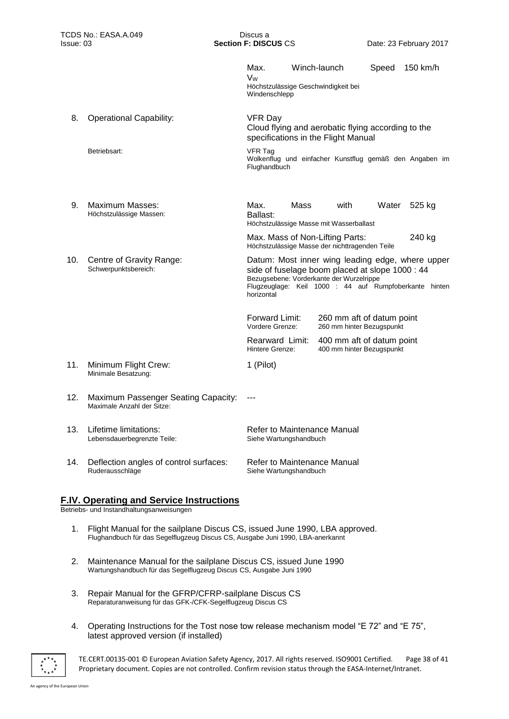|     |                                                                   | Max.<br>Vw<br>Windenschlepp                                                                                                                                                                                             |      | Winch-launch<br>Höchstzulässige Geschwindigkeit bei                               | Speed | 150 km/h                                                |
|-----|-------------------------------------------------------------------|-------------------------------------------------------------------------------------------------------------------------------------------------------------------------------------------------------------------------|------|-----------------------------------------------------------------------------------|-------|---------------------------------------------------------|
| 8.  | <b>Operational Capability:</b>                                    | <b>VFR Day</b><br>Cloud flying and aerobatic flying according to the<br>specifications in the Flight Manual                                                                                                             |      |                                                                                   |       |                                                         |
|     | Betriebsart:                                                      | <b>VFR Tag</b><br>Flughandbuch                                                                                                                                                                                          |      |                                                                                   |       | Wolkenflug und einfacher Kunstflug gemäß den Angaben im |
| 9.  | Maximum Masses:<br>Höchstzulässige Massen:                        | Max.<br>Ballast:                                                                                                                                                                                                        | Mass | with<br>Höchstzulässige Masse mit Wasserballast                                   | Water | 525 kg                                                  |
|     |                                                                   |                                                                                                                                                                                                                         |      | Max. Mass of Non-Lifting Parts:<br>Höchstzulässige Masse der nichttragenden Teile |       | 240 kg                                                  |
| 10. | Centre of Gravity Range:<br>Schwerpunktsbereich:                  | Datum: Most inner wing leading edge, where upper<br>side of fuselage boom placed at slope 1000 : 44<br>Bezugsebene: Vorderkante der Wurzelrippe<br>Flugzeuglage: Keil 1000 : 44 auf Rumpfoberkante hinten<br>horizontal |      |                                                                                   |       |                                                         |
|     |                                                                   | <b>Forward Limit:</b><br>Vordere Grenze:                                                                                                                                                                                |      | 260 mm aft of datum point<br>260 mm hinter Bezugspunkt                            |       |                                                         |
|     |                                                                   | Rearward Limit:<br>Hintere Grenze:                                                                                                                                                                                      |      | 400 mm aft of datum point<br>400 mm hinter Bezugspunkt                            |       |                                                         |
| 11. | Minimum Flight Crew:<br>Minimale Besatzung:                       | 1 (Pilot)                                                                                                                                                                                                               |      |                                                                                   |       |                                                         |
| 12. | Maximum Passenger Seating Capacity:<br>Maximale Anzahl der Sitze: | ---                                                                                                                                                                                                                     |      |                                                                                   |       |                                                         |
| 13. | Lifetime limitations:<br>Lebensdauerbegrenzte Teile:              | Refer to Maintenance Manual<br>Siehe Wartungshandbuch                                                                                                                                                                   |      |                                                                                   |       |                                                         |
| 14. | Deflection angles of control surfaces:<br>Ruderausschläge         | Refer to Maintenance Manual<br>Siehe Wartungshandbuch                                                                                                                                                                   |      |                                                                                   |       |                                                         |
|     |                                                                   |                                                                                                                                                                                                                         |      |                                                                                   |       |                                                         |

## **F.IV. Operating and Service Instructions**

Betriebs- und Instandhaltungsanweisungen

- 1. Flight Manual for the sailplane Discus CS, issued June 1990, LBA approved. Flughandbuch für das Segelflugzeug Discus CS, Ausgabe Juni 1990, LBA-anerkannt
- 2. Maintenance Manual for the sailplane Discus CS, issued June 1990 Wartungshandbuch für das Segelflugzeug Discus CS, Ausgabe Juni 1990
- 3. Repair Manual for the GFRP/CFRP-sailplane Discus CS Reparaturanweisung für das GFK-/CFK-Segelflugzeug Discus CS
- 4. Operating Instructions for the Tost nose tow release mechanism model "E 72" and "E 75", latest approved version (if installed)



TE.CERT.00135-001 © European Aviation Safety Agency, 2017. All rights reserved. ISO9001 Certified. Page 38 of 41 Proprietary document. Copies are not controlled. Confirm revision status through the EASA-Internet/Intranet.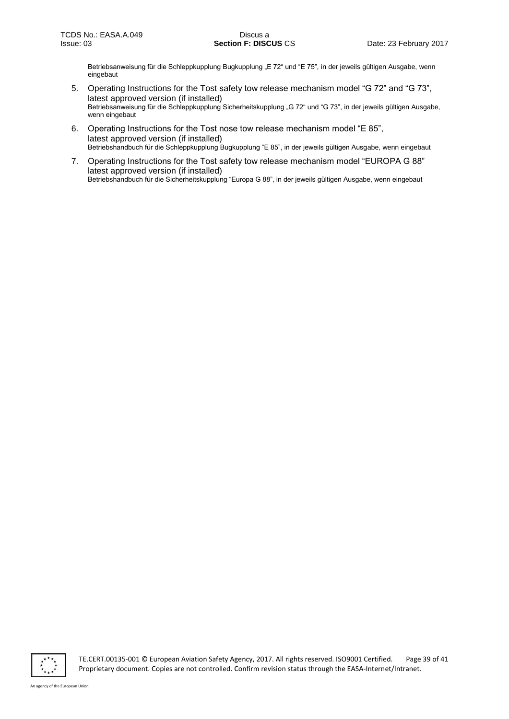Betriebsanweisung für die Schleppkupplung Bugkupplung "E 72" und "E 75", in der jeweils gültigen Ausgabe, wenn eingebaut

- 5. Operating Instructions for the Tost safety tow release mechanism model "G 72" and "G 73", latest approved version (if installed) Betriebsanweisung für die Schleppkupplung Sicherheitskupplung "G 72" und "G 73", in der jeweils gültigen Ausgabe, wenn eingebaut
- 6. Operating Instructions for the Tost nose tow release mechanism model "E 85", latest approved version (if installed) Betriebshandbuch für die Schleppkupplung Bugkupplung "E 85", in der jeweils gültigen Ausgabe, wenn eingebaut
- 7. Operating Instructions for the Tost safety tow release mechanism model "EUROPA G 88" latest approved version (if installed) Betriebshandbuch für die Sicherheitskupplung "Europa G 88", in der jeweils gültigen Ausgabe, wenn eingebaut



TE.CERT.00135-001 © European Aviation Safety Agency, 2017. All rights reserved. ISO9001 Certified. Page 39 of 41 Proprietary document. Copies are not controlled. Confirm revision status through the EASA-Internet/Intranet.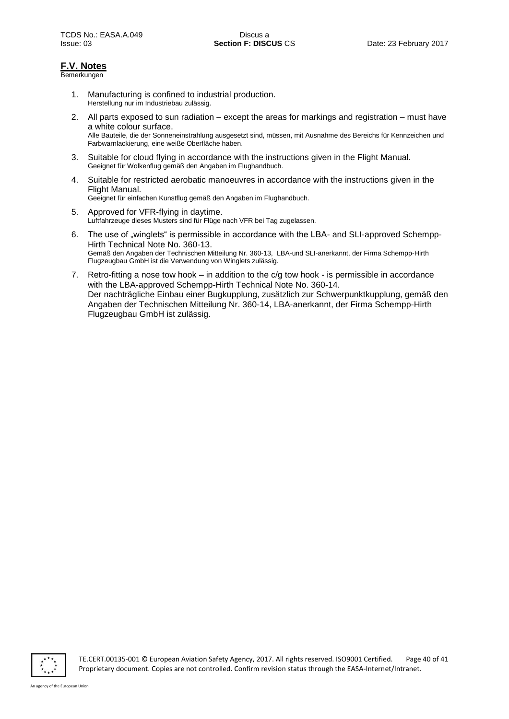## **F.V. Notes**

Bemerkungen

- 1. Manufacturing is confined to industrial production. Herstellung nur im Industriebau zulässig.
- 2. All parts exposed to sun radiation except the areas for markings and registration must have a white colour surface. Alle Bauteile, die der Sonneneinstrahlung ausgesetzt sind, müssen, mit Ausnahme des Bereichs für Kennzeichen und Farbwarnlackierung, eine weiße Oberfläche haben.
- 3. Suitable for cloud flying in accordance with the instructions given in the Flight Manual. Geeignet für Wolkenflug gemäß den Angaben im Flughandbuch.
- 4. Suitable for restricted aerobatic manoeuvres in accordance with the instructions given in the Flight Manual.

Geeignet für einfachen Kunstflug gemäß den Angaben im Flughandbuch.

- 5. Approved for VFR-flying in daytime. Luftfahrzeuge dieses Musters sind für Flüge nach VFR bei Tag zugelassen.
- 6. The use of "winglets" is permissible in accordance with the LBA- and SLI-approved Schempp-Hirth Technical Note No. 360-13. Gemäß den Angaben der Technischen Mitteilung Nr. 360-13, LBA-und SLI-anerkannt, der Firma Schempp-Hirth Flugzeugbau GmbH ist die Verwendung von Winglets zulässig.
- 7. Retro-fitting a nose tow hook in addition to the c/g tow hook is permissible in accordance with the LBA-approved Schempp-Hirth Technical Note No. 360-14. Der nachträgliche Einbau einer Bugkupplung, zusätzlich zur Schwerpunktkupplung, gemäß den Angaben der Technischen Mitteilung Nr. 360-14, LBA-anerkannt, der Firma Schempp-Hirth Flugzeugbau GmbH ist zulässig.